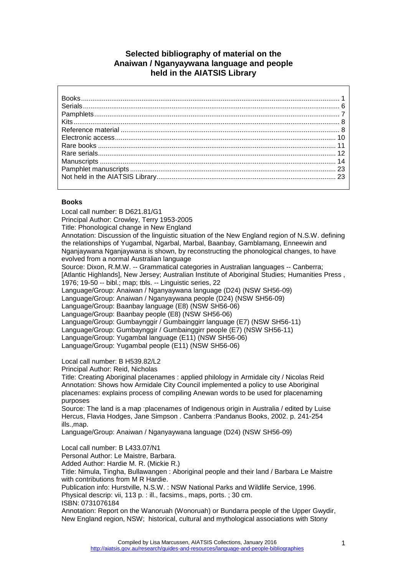# **Selected bibliography of material on the Anaiwan / Nganyaywana language and people held in the AIATSIS Library**

### <span id="page-0-0"></span>**Books**

Local call number: B D621.81/G1 Principal Author: Crowley, Terry 1953-2005 Title: Phonological change in New England Annotation: Discussion of the linguistic situation of the New England region of N.S.W. defining the relationships of Yugambal, Ngarbal, Marbal, Baanbay, Gamblamang, Enneewin and Nganjaywana Nganjaywana is shown, by reconstructing the phonological changes, to have evolved from a normal Australian language Source: Dixon, R.M.W. -- Grammatical categories in Australian languages -- Canberra; [Atlantic Highlands], New Jersey; Australian Institute of Aboriginal Studies; Humanities Press , 1976; 19-50 -- bibl.; map; tbls. -- Linguistic series, 22 Language/Group: Anaiwan / Nganyaywana language (D24) (NSW SH56-09) Language/Group: Anaiwan / Nganyaywana people (D24) (NSW SH56-09) Language/Group: Baanbay language (E8) (NSW SH56-06) Language/Group: Baanbay people (E8) (NSW SH56-06) Language/Group: Gumbaynggir / Gumbainggirr language (E7) (NSW SH56-11) Language/Group: Gumbaynggir / Gumbainggirr people (E7) (NSW SH56-11) Language/Group: Yugambal language (E11) (NSW SH56-06) Language/Group: Yugambal people (E11) (NSW SH56-06)

Local call number: B H539.82/L2

Principal Author: Reid, Nicholas

Title: Creating Aboriginal placenames : applied philology in Armidale city / Nicolas Reid Annotation: Shows how Armidale City Council implemented a policy to use Aboriginal placenames: explains process of compiling Anewan words to be used for placenaming purposes

Source: The land is a map :placenames of Indigenous origin in Australia / edited by Luise Hercus, Flavia Hodges, Jane Simpson . Canberra :Pandanus Books, 2002. p. 241-254 ills.,map.

Language/Group: Anaiwan / Nganyaywana language (D24) (NSW SH56-09)

Local call number: B L433.07/N1

Personal Author: Le Maistre, Barbara.

Added Author: Hardie M. R. (Mickie R.)

Title: Nimula, Tingha, Bullawangen : Aboriginal people and their land / Barbara Le Maistre with contributions from M R Hardie.

Publication info: Hurstville, N.S.W. : NSW National Parks and Wildlife Service, 1996. Physical descrip: vii, 113 p. : ill., facsims., maps, ports. ; 30 cm.

ISBN: 0731076184

Annotation: Report on the Wanoruah (Wonoruah) or Bundarra people of the Upper Gwydir, New England region, NSW; historical, cultural and mythological associations with Stony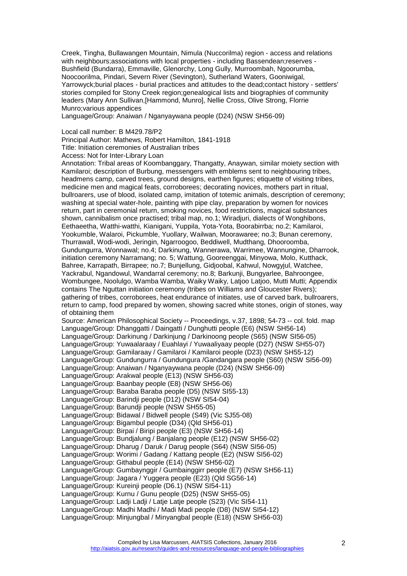Creek, Tingha, Bullawangen Mountain, Nimula (Nuccorilma) region - access and relations with neighbours;associations with local properties - including Bassendean;reserves -Bushfield (Bundarra), Emmaville, Glenorchy, Long Gully, Murroombah, Ngoorumba, Noocoorilma, Pindari, Severn River (Sevington), Sutherland Waters, Gooniwigal, Yarrowyck;burial places - burial practices and attitudes to the dead;contact history - settlers' stories compiled for Stony Creek region;genealogical lists and biographies of community leaders (Mary Ann Sullivan,[Hammond, Munro], Nellie Cross, Olive Strong, Florrie Munro;various appendices

Language/Group: Anaiwan / Nganyaywana people (D24) (NSW SH56-09)

#### Local call number: B M429.78/P2

Principal Author: Mathews, Robert Hamilton, 1841-1918

Title: Initiation ceremonies of Australian tribes

Access: Not for Inter-Library Loan

Annotation: Tribal areas of Koombanggary, Thangatty, Anaywan, similar moiety section with Kamilaroi; description of Burbung, messengers with emblems sent to neighbouring tribes, headmens camp, carved trees, ground designs, earthen figures; etiquette of visiting tribes, medicine men and magical feats, corroborees; decorating novices, mothers part in ritual, bullroarers, use of blood, isolated camp, imitation of totemic animals, description of ceremony; washing at special water-hole, painting with pipe clay, preparation by women for novices return, part in ceremonial return, smoking novices, food restrictions, magical substances shown, cannibalism once practised; tribal map, no.1; Wiradjuri, dialects of Wonghibons, Eethaeetha, Watthi-watthi, Kianigani, Yuppila, Yota-Yota, Boorabirrba; no.2; Kamilaroi, Yookumble, Walaroi, Pickumble, Yuollary, Wailwan, Moorawaree; no.3; Bunan ceremony, Thurrawall, Wodi-wodi, Jeringin, Ngarroogoo, Beddiwell, Mudthang, Dhooroomba, Gundungurra, Wonnawal; no.4; Darkinung, Wannerawa, Warrimee, Wannungine, Dharrook, initiation ceremony Narramang; no. 5; Wattung, Gooreenggai, Minyowa, Molo, Kutthack, Bahree, Karrapath, Birrapee; no.7; Bunjellung, Gidjoobal, Kahwul, Nowgyjul, Watchee, Yackrabul, Ngandowul, Wandarral ceremony; no.8; Barkunji, Bungyarlee, Bahroongee, Wombungee, Noolulgo, Wamba Wamba, Waiky Waiky, Latjoo Latjoo, Mutti Mutti; Appendix contains The Nguttan initiation ceremony (tribes on Williams and Gloucester Rivers); gathering of tribes, corroborees, heat endurance of initiates, use of carved bark, bullroarers, return to camp, food prepared by women, showing sacred white stones, origin of stones, way of obtaining them Source: American Philosophical Society -- Proceedings, v.37, 1898; 54-73 -- col. fold. map Language/Group: Dhanggatti / Daingatti / Dunghutti people (E6) (NSW SH56-14) Language/Group: Darkinung / Darkinjung / Darkinoong people (S65) (NSW SI56-05) Language/Group: Yuwaalaraay / Euahlayi / Yuwaaliyaay people (D27) (NSW SH55-07) Language/Group: Gamilaraay / Gamilaroi / Kamilaroi people (D23) (NSW SH55-12) Language/Group: Gundungurra / Gundungura /Gandangara people (S60) (NSW SI56-09) Language/Group: Anaiwan / Nganyaywana people (D24) (NSW SH56-09) Language/Group: Arakwal people (E13) (NSW SH56-03) Language/Group: Baanbay people (E8) (NSW SH56-06) Language/Group: Baraba Baraba people (D5) (NSW SI55-13) Language/Group: Barindji people (D12) (NSW SI54-04) Language/Group: Barundji people (NSW SH55-05) Language/Group: Bidawal / Bidwell people (S49) (Vic SJ55-08) Language/Group: Bigambul people (D34) (Qld SH56-01) Language/Group: Birpai / Biripi people (E3) (NSW SH56-14) Language/Group: Bundjalung / Banjalang people (E12) (NSW SH56-02) Language/Group: Dharug / Daruk / Darug people (S64) (NSW SI56-05) Language/Group: Worimi / Gadang / Kattang people (E2) (NSW SI56-02) Language/Group: Githabul people (E14) (NSW SH56-02) Language/Group: Gumbaynggir / Gumbainggirr people (E7) (NSW SH56-11) Language/Group: Jagara / Yuggera people (E23) (Qld SG56-14) Language/Group: Kureinji people (D6.1) (NSW SI54-11) Language/Group: Kurnu / Gunu people (D25) (NSW SH55-05) Language/Group: Ladji Ladji / Latje Latje people (S23) (Vic SI54-11) Language/Group: Madhi Madhi / Madi Madi people (D8) (NSW SI54-12) Language/Group: Minjungbal / Minyangbal people (E18) (NSW SH56-03)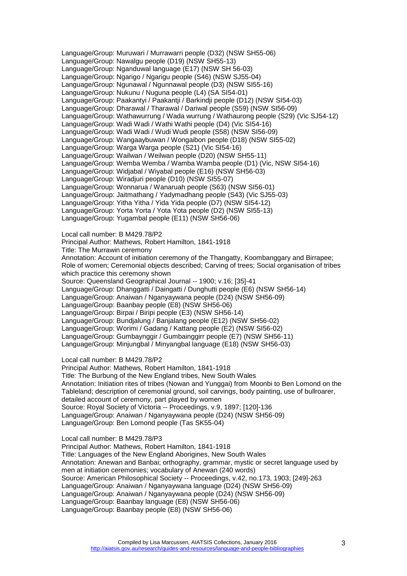Language/Group: Muruwari / Murrawarri people (D32) (NSW SH55-06) Language/Group: Nawalgu people (D19) (NSW SH55-13) Language/Group: Nganduwal language (E17) (NSW SH 56-03) Language/Group: Ngarigo / Ngarigu people (S46) (NSW SJ55-04) Language/Group: Ngunawal / Ngunnawal people (D3) (NSW SI55-16) Language/Group: Nukunu / Nuguna people (L4) (SA SI54-01) Language/Group: Paakantyi / Paakantji / Barkindji people (D12) (NSW SI54-03) Language/Group: Dharawal / Tharawal / Dariwal people (S59) (NSW SI56-09) Language/Group: Wathawurrung / Wada wurrung / Wathaurong people (S29) (Vic SJ54-12) Language/Group: Wadi Wadi / Wathi Wathi people (D4) (Vic SI54-16) Language/Group: Wadi Wadi / Wudi Wudi people (S58) (NSW SI56-09) Language/Group: Wangaaybuwan / Wongaibon people (D18) (NSW SI55-02) Language/Group: Warga Warga people (S21) (Vic SI54-16) Language/Group: Wailwan / Weilwan people (D20) (NSW SH55-11) Language/Group: Wemba Wemba / Wamba Wamba people (D1) (Vic, NSW SI54-16) Language/Group: Widjabal / Wiyabal people (E16) (NSW SH56-03) Language/Group: Wiradjuri people (D10) (NSW SI55-07) Language/Group: Wonnarua / Wanaruah people (S63) (NSW SI56-01) Language/Group: Jaitmathang / Yadymadhang people (S43) (Vic SJ55-03) Language/Group: Yitha Yitha / Yida Yida people (D7) (NSW SI54-12) Language/Group: Yorta Yorta / Yota Yota people (D2) (NSW SI55-13) Language/Group: Yugambal people (E11) (NSW SH56-06)

Local call number: B M429.78/P2

Principal Author: Mathews, Robert Hamilton, 1841-1918

Title: The Murrawin ceremony

Annotation: Account of initiation ceremony of the Thangatty, Koombanggary and Birrapee; Role of women; Ceremonial objects described; Carving of trees; Social organisation of tribes which practice this ceremony shown

Source: Queensland Geographical Journal -- 1900; v.16; [35]-41 Language/Group: Dhanggatti / Daingatti / Dunghutti people (E6) (NSW SH56-14) Language/Group: Anaiwan / Nganyaywana people (D24) (NSW SH56-09)

Language/Group: Baanbay people (E8) (NSW SH56-06)

Language/Group: Birpai / Biripi people (E3) (NSW SH56-14)

Language/Group: Bundjalung / Banjalang people (E12) (NSW SH56-02)

Language/Group: Worimi / Gadang / Kattang people (E2) (NSW SI56-02)

Language/Group: Gumbaynggir / Gumbainggirr people (E7) (NSW SH56-11)

Language/Group: Minjungbal / Minyangbal language (E18) (NSW SH56-03)

Local call number: B M429.78/P2

Principal Author: Mathews, Robert Hamilton, 1841-1918 Title: The Burbung of the New England tribes, New South Wales Annotation: Initiation rites of tribes (Nowan and Yunggai) from Moonbi to Ben Lomond on the Tableland; description of ceremonial ground, soil carvings, body painting, use of bullroarer,

detailed account of ceremony, part played by women

Source: Royal Society of Victoria -- Proceedings, v.9, 1897; [120]-136 Language/Group: Anaiwan / Nganyaywana people (D24) (NSW SH56-09)

Language/Group: Ben Lomond people (Tas SK55-04)

Local call number: B M429.78/P3

Principal Author: Mathews, Robert Hamilton, 1841-1918 Title: Languages of the New England Aborigines, New South Wales Annotation: Anewan and Banbai; orthography, grammar, mystic or secret language used by men at initiation ceremonies; vocabulary of Anewan (240 words) Source: American Philosophical Society -- Proceedings, v.42, no.173, 1903; [249]-263 Language/Group: Anaiwan / Nganyaywana language (D24) (NSW SH56-09) Language/Group: Anaiwan / Nganyaywana people (D24) (NSW SH56-09) Language/Group: Baanbay language (E8) (NSW SH56-06) Language/Group: Baanbay people (E8) (NSW SH56-06)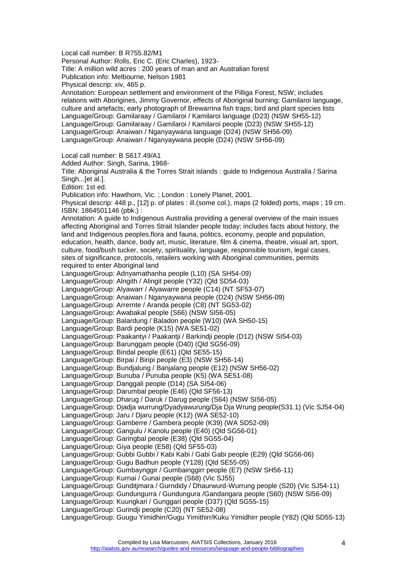Local call number: B R755.82/M1 Personal Author: Rolls, Eric C. (Eric Charles), 1923- Title: A million wild acres : 200 years of man and an Australian forest Publication info: Melbourne, Nelson 1981 Physical descrip: xiv, 465 p. Annotation: European settlement and environment of the Pilliga Forest, NSW; includes relations with Aborigines, Jimmy Governor, effects of Aboriginal burning; Gamilaroi language, culture and artefacts; early photograph of Brewarrina fish traps; bird and plant species lists Language/Group: Gamilaraay / Gamilaroi / Kamilaroi language (D23) (NSW SH55-12) Language/Group: Gamilaraay / Gamilaroi / Kamilaroi people (D23) (NSW SH55-12) Language/Group: Anaiwan / Nganyaywana language (D24) (NSW SH56-09) Language/Group: Anaiwan / Nganyaywana people (D24) (NSW SH56-09) Local call number: B S617.49/A1 Added Author: Singh, Sarina, 1968- Title: Aboriginal Australia & the Torres Strait islands : guide to Indigenous Australia / Sarina Singh...[et al.]. Edition: 1st ed. Publication info: Hawthorn, Vic. ; London : Lonely Planet, 2001. Physical descrip: 448 p., [12] p. of plates : ill.(some col.), maps (2 folded) ports, maps ; 19 cm. ISBN: 1864501146 (pbk.) : Annotation: A guide to Indigenous Australia providing a general overview of the main issues affecting Aboriginal and Torres Strait Islander people today; includes facts about history, the land and Indigenous peoples,flora and fauna, politics, economy, people and population, education, health, dance, body art, music, literature, film & cinema, theatre, visual art, sport, culture, food/bush tucker, society, spirituality, language, responsible tourism, legal cases, sites of significance, protocols, retailers working with Aboriginal communities, permits required to enter Aboriginal land Language/Group: Adnyamathanha people (L10) (SA SH54-09) Language/Group: Alngith / Alingit people (Y32) (Qld SD54-03) Language/Group: Alyawarr / Alyawarre people (C14) (NT SF53-07) Language/Group: Anaiwan / Nganyaywana people (D24) (NSW SH56-09) Language/Group: Arrernte / Aranda people (C8) (NT SG53-02) Language/Group: Awabakal people (S66) (NSW SI56-05) Language/Group: Balardung / Baladon people (W10) (WA SH50-15) Language/Group: Bardi people (K15) (WA SE51-02) Language/Group: Paakantyi / Paakantji / Barkindji people (D12) (NSW SI54-03) Language/Group: Barunggam people (D40) (Qld SG56-09) Language/Group: Bindal people (E61) (Qld SE55-15) Language/Group: Birpai / Biripi people (E3) (NSW SH56-14) Language/Group: Bundjalung / Banjalang people (E12) (NSW SH56-02) Language/Group: Bunuba / Punuba people (K5) (WA SE51-08) Language/Group: Danggali people (D14) (SA SI54-06) Language/Group: Darumbal people (E46) (Qld SF56-13) Language/Group: Dharug / Daruk / Darug people (S64) (NSW SI56-05) Language/Group: Djadja wurrung/Dyadyawurung/Dja Dja Wrung people(S31.1) (Vic SJ54-04) Language/Group: Jaru / Djaru people (K12) (WA SE52-10) Language/Group: Gamberre / Gambera people (K39) (WA SD52-09) Language/Group: Gangulu / Kanolu people (E40) (Qld SG56-01) Language/Group: Garingbal people (E38) (Qld SG55-04) Language/Group: Giya people (E58) (Qld SF55-03) Language/Group: Gubbi Gubbi / Kabi Kabi / Gabi Gabi people (E29) (Qld SG56-06) Language/Group: Gugu Badhun people (Y128) (Qld SE55-05) Language/Group: Gumbaynggir / Gumbainggirr people (E7) (NSW SH56-11) Language/Group: Kurnai / Gunai people (S68) (Vic SJ55) Language/Group: Gunditjmara / Gurndidy / Dhaurwurd-Wurrung people (S20) (Vic SJ54-11) Language/Group: Gundungurra / Gundungura /Gandangara people (S60) (NSW SI56-09) Language/Group: Kuungkari / Gunggari people (D37) (Qld SG55-15) Language/Group: Gurindji people (C20) (NT SE52-08) Language/Group: Guugu Yimidhirr/Gugu Yimithirr/Kuku Yimidhirr people (Y82) (Qld SD55-13)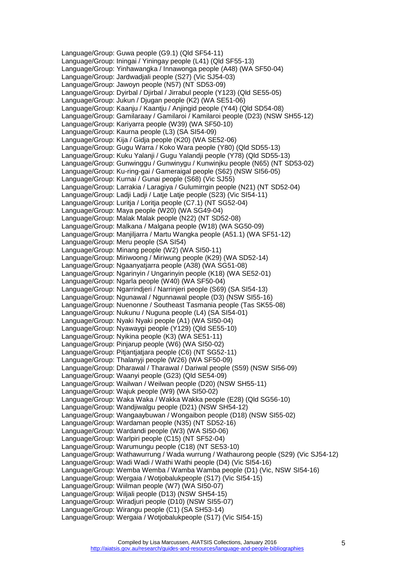Language/Group: Guwa people (G9.1) (Qld SF54-11) Language/Group: Iningai / Yiningay people (L41) (Qld SF55-13) Language/Group: Yinhawangka / Innawonga people (A48) (WA SF50-04) Language/Group: Jardwadjali people (S27) (Vic SJ54-03) Language/Group: Jawoyn people (N57) (NT SD53-09) Language/Group: Dyirbal / Djirbal / Jirrabul people (Y123) (Qld SE55-05) Language/Group: Jukun / Djugan people (K2) (WA SE51-06) Language/Group: Kaanju / Kaantju / Anjingid people (Y44) (Qld SD54-08) Language/Group: Gamilaraay / Gamilaroi / Kamilaroi people (D23) (NSW SH55-12) Language/Group: Kariyarra people (W39) (WA SF50-10) Language/Group: Kaurna people (L3) (SA SI54-09) Language/Group: Kija / Gidja people (K20) (WA SE52-06) Language/Group: Gugu Warra / Koko Wara people (Y80) (Qld SD55-13) Language/Group: Kuku Yalanji / Gugu Yalandji people (Y78) (Qld SD55-13) Language/Group: Gunwinggu / Gunwinygu / Kunwinjku people (N65) (NT SD53-02) Language/Group: Ku-ring-gai / Gameraigal people (S62) (NSW SI56-05) Language/Group: Kurnai / Gunai people (S68) (Vic SJ55) Language/Group: Larrakia / Laragiya / Gulumirrgin people (N21) (NT SD52-04) Language/Group: Ladji Ladji / Latje Latje people (S23) (Vic SI54-11) Language/Group: Luritja / Loritja people (C7.1) (NT SG52-04) Language/Group: Maya people (W20) (WA SG49-04) Language/Group: Malak Malak people (N22) (NT SD52-08) Language/Group: Malkana / Malgana people (W18) (WA SG50-09) Language/Group: Manjiljarra / Martu Wangka people (A51.1) (WA SF51-12) Language/Group: Meru people (SA SI54) Language/Group: Minang people (W2) (WA SI50-11) Language/Group: Miriwoong / Miriwung people (K29) (WA SD52-14) Language/Group: Ngaanyatjarra people (A38) (WA SG51-08) Language/Group: Ngarinyin / Ungarinyin people (K18) (WA SE52-01) Language/Group: Ngarla people (W40) (WA SF50-04) Language/Group: Ngarrindjeri / Narrinjeri people (S69) (SA SI54-13) Language/Group: Ngunawal / Ngunnawal people (D3) (NSW SI55-16) Language/Group: Nuenonne / Southeast Tasmania people (Tas SK55-08) Language/Group: Nukunu / Nuguna people (L4) (SA SI54-01) Language/Group: Nyaki Nyaki people (A1) (WA SI50-04) Language/Group: Nyawaygi people (Y129) (Qld SE55-10) Language/Group: Nyikina people (K3) (WA SE51-11) Language/Group: Pinjarup people (W6) (WA SI50-02) Language/Group: Pitjantjatjara people (C6) (NT SG52-11) Language/Group: Thalanyji people (W26) (WA SF50-09) Language/Group: Dharawal / Tharawal / Dariwal people (S59) (NSW SI56-09) Language/Group: Waanyi people (G23) (Qld SE54-09) Language/Group: Wailwan / Weilwan people (D20) (NSW SH55-11) Language/Group: Wajuk people (W9) (WA SI50-02) Language/Group: Waka Waka / Wakka Wakka people (E28) (Qld SG56-10) Language/Group: Wandjiwalgu people (D21) (NSW SH54-12) Language/Group: Wangaaybuwan / Wongaibon people (D18) (NSW SI55-02) Language/Group: Wardaman people (N35) (NT SD52-16) Language/Group: Wardandi people (W3) (WA SI50-06) Language/Group: Warlpiri people (C15) (NT SF52-04) Language/Group: Warumungu people (C18) (NT SE53-10) Language/Group: Wathawurrung / Wada wurrung / Wathaurong people (S29) (Vic SJ54-12) Language/Group: Wadi Wadi / Wathi Wathi people (D4) (Vic SI54-16) Language/Group: Wemba Wemba / Wamba Wamba people (D1) (Vic, NSW SI54-16) Language/Group: Wergaia / Wotjobalukpeople (S17) (Vic SI54-15) Language/Group: Wiilman people (W7) (WA SI50-07) Language/Group: Wiljali people (D13) (NSW SH54-15) Language/Group: Wiradjuri people (D10) (NSW SI55-07) Language/Group: Wirangu people (C1) (SA SH53-14) Language/Group: Wergaia / Wotjobalukpeople (S17) (Vic SI54-15)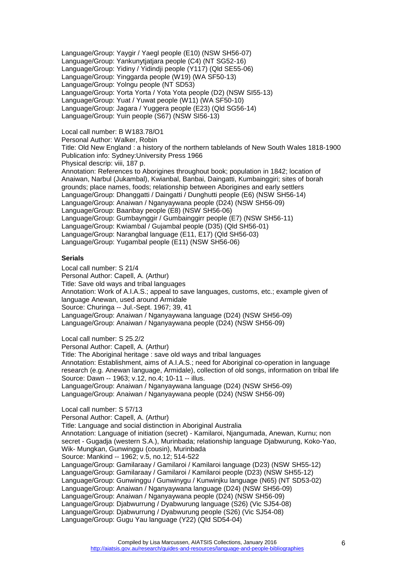Language/Group: Yaygir / Yaegl people (E10) (NSW SH56-07) Language/Group: Yankunytjatjara people (C4) (NT SG52-16) Language/Group: Yidiny / Yidindji people (Y117) (Qld SE55-06) Language/Group: Yinggarda people (W19) (WA SF50-13) Language/Group: Yolngu people (NT SD53) Language/Group: Yorta Yorta / Yota Yota people (D2) (NSW SI55-13) Language/Group: Yuat / Yuwat people (W11) (WA SF50-10) Language/Group: Jagara / Yuggera people (E23) (Qld SG56-14) Language/Group: Yuin people (S67) (NSW SI56-13)

# Local call number: B W183.78/O1

Personal Author: Walker, Robin

Title: Old New England : a history of the northern tablelands of New South Wales 1818-1900 Publication info: Sydney:University Press 1966 Physical descrip: viii, 187 p.

Annotation: References to Aborigines throughout book; population in 1842; location of Anaiwan, Narbul (Jukambal), Kwianbal, Banbai, Daingatti, Kumbainggiri; sites of borah grounds; place names, foods; relationship between Aborigines and early settlers Language/Group: Dhanggatti / Daingatti / Dunghutti people (E6) (NSW SH56-14) Language/Group: Anaiwan / Nganyaywana people (D24) (NSW SH56-09) Language/Group: Baanbay people (E8) (NSW SH56-06) Language/Group: Gumbaynggir / Gumbainggirr people (E7) (NSW SH56-11) Language/Group: Kwiambal / Gujambal people (D35) (Qld SH56-01) Language/Group: Narangbal language (E11, E17) (Qld SH56-03) Language/Group: Yugambal people (E11) (NSW SH56-06)

### <span id="page-5-0"></span>**Serials**

Local call number: S 21/4 Personal Author: Capell, A. (Arthur) Title: Save old ways and tribal languages Annotation: Work of A.I.A.S.; appeal to save languages, customs, etc.; example given of language Anewan, used around Armidale Source: Churinga -- Jul.-Sept. 1967; 39, 41 Language/Group: Anaiwan / Nganyaywana language (D24) (NSW SH56-09) Language/Group: Anaiwan / Nganyaywana people (D24) (NSW SH56-09)

Local call number: S 25.2/2 Personal Author: Capell, A. (Arthur) Title: The Aboriginal heritage : save old ways and tribal languages Annotation: Establishment, aims of A.I.A.S.; need for Aboriginal co-operation in language research (e.g. Anewan language, Armidale), collection of old songs, information on tribal life Source: Dawn -- 1963; v.12, no.4; 10-11 -- illus. Language/Group: Anaiwan / Nganyaywana language (D24) (NSW SH56-09) Language/Group: Anaiwan / Nganyaywana people (D24) (NSW SH56-09)

Local call number: S 57/13 Personal Author: Capell, A. (Arthur) Title: Language and social distinction in Aboriginal Australia Annotation: Language of initiation (secret) - Kamilaroi, Njangumada, Anewan, Kurnu; non secret - Gugadja (western S.A.), Murinbada; relationship language Djabwurung, Koko-Yao, Wik- Mungkan, Gunwinggu (cousin), Murinbada Source: Mankind -- 1962; v.5, no.12; 514-522 Language/Group: Gamilaraay / Gamilaroi / Kamilaroi language (D23) (NSW SH55-12) Language/Group: Gamilaraay / Gamilaroi / Kamilaroi people (D23) (NSW SH55-12) Language/Group: Gunwinggu / Gunwinygu / Kunwinjku language (N65) (NT SD53-02) Language/Group: Anaiwan / Nganyaywana language (D24) (NSW SH56-09) Language/Group: Anaiwan / Nganyaywana people (D24) (NSW SH56-09) Language/Group: Djabwurrung / Dyabwurung language (S26) (Vic SJ54-08) Language/Group: Djabwurrung / Dyabwurung people (S26) (Vic SJ54-08) Language/Group: Gugu Yau language (Y22) (Qld SD54-04)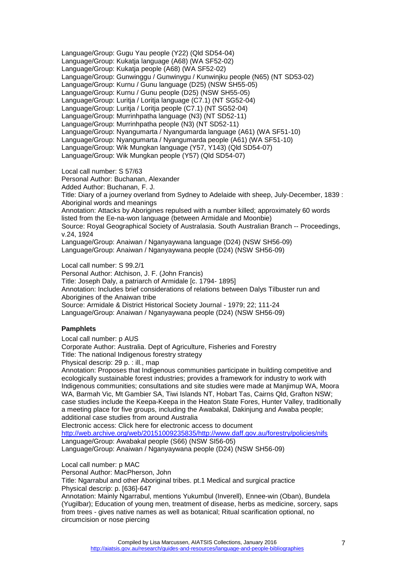Language/Group: Gugu Yau people (Y22) (Qld SD54-04) Language/Group: Kukatja language (A68) (WA SF52-02) Language/Group: Kukatja people (A68) (WA SF52-02) Language/Group: Gunwinggu / Gunwinygu / Kunwinjku people (N65) (NT SD53-02) Language/Group: Kurnu / Gunu language (D25) (NSW SH55-05) Language/Group: Kurnu / Gunu people (D25) (NSW SH55-05) Language/Group: Luritja / Loritja language (C7.1) (NT SG52-04) Language/Group: Luritja / Loritja people (C7.1) (NT SG52-04) Language/Group: Murrinhpatha language (N3) (NT SD52-11) Language/Group: Murrinhpatha people (N3) (NT SD52-11) Language/Group: Nyangumarta / Nyangumarda language (A61) (WA SF51-10) Language/Group: Nyangumarta / Nyangumarda people (A61) (WA SF51-10) Language/Group: Wik Mungkan language (Y57, Y143) (Qld SD54-07) Language/Group: Wik Mungkan people (Y57) (Qld SD54-07)

Local call number: S 57/63 Personal Author: Buchanan, Alexander Added Author: Buchanan, F. J. Title: Diary of a journey overland from Sydney to Adelaide with sheep, July-December, 1839 : Aboriginal words and meanings Annotation: Attacks by Aborigines repulsed with a number killed; approximately 60 words listed from the Ee-na-won language (between Armidale and Moonbie) Source: Royal Geographical Society of Australasia. South Australian Branch -- Proceedings, v.24, 1924 Language/Group: Anaiwan / Nganyaywana language (D24) (NSW SH56-09) Language/Group: Anaiwan / Nganyaywana people (D24) (NSW SH56-09)

Local call number: S 99.2/1 Personal Author: Atchison, J. F. (John Francis)

Title: Joseph Daly, a patriarch of Armidale [c. 1794- 1895]

Annotation: Includes brief considerations of relations between Dalys Tilbuster run and Aborigines of the Anaiwan tribe

Source: Armidale & District Historical Society Journal - 1979; 22; 111-24

Language/Group: Anaiwan / Nganyaywana people (D24) (NSW SH56-09)

# <span id="page-6-0"></span>**Pamphlets**

Local call number: p AUS Corporate Author: Australia. Dept of Agriculture, Fisheries and Forestry Title: The national Indigenous forestry strategy

Physical descrip: 29 p. : ill., map

Annotation: Proposes that Indigenous communities participate in building competitive and ecologically sustainable forest industries; provides a framework for industry to work with Indigenous communities; consultations and site studies were made at Manjimup WA, Moora WA, Barmah Vic, Mt Gambier SA, Tiwi Islands NT, Hobart Tas, Cairns Qld, Grafton NSW; case studies include the Keepa-Keepa in the Heaton State Fores, Hunter Valley, traditionally a meeting place for five groups, including the Awabakal, Dakinjung and Awaba people; additional case studies from around Australia

Electronic access: Click here for electronic access to document

[http://web.archive.org/web/20151009235835/http://www.daff.gov.au/forestry/policies/nifs](http://web.archive.org/web/20151009235835/http:/www.daff.gov.au/forestry/policies/nifs) Language/Group: Awabakal people (S66) (NSW SI56-05)

Language/Group: Anaiwan / Nganyaywana people (D24) (NSW SH56-09)

Local call number: p MAC

Personal Author: MacPherson, John

Title: Ngarrabul and other Aboriginal tribes. pt.1 Medical and surgical practice Physical descrip: p. [636]-647

Annotation: Mainly Ngarrabul, mentions Yukumbul (Inverell), Ennee-win (Oban), Bundela (Yugilbar); Education of young men, treatment of disease, herbs as medicine, sorcery, saps from trees - gives native names as well as botanical; Ritual scarification optional, no circumcision or nose piercing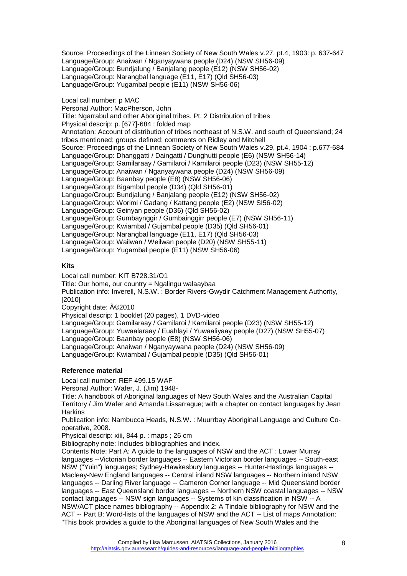Source: Proceedings of the Linnean Society of New South Wales v.27, pt.4, 1903: p. 637-647 Language/Group: Anaiwan / Nganyaywana people (D24) (NSW SH56-09) Language/Group: Bundjalung / Banjalang people (E12) (NSW SH56-02) Language/Group: Narangbal language (E11, E17) (Qld SH56-03) Language/Group: Yugambal people (E11) (NSW SH56-06)

Local call number: p MAC

Personal Author: MacPherson, John Title: Ngarrabul and other Aboriginal tribes. Pt. 2 Distribution of tribes Physical descrip: p. [677]-684 : folded map Annotation: Account of distribution of tribes northeast of N.S.W. and south of Queensland; 24 tribes mentioned; groups defined; comments on Ridley and Mitchell Source: Proceedings of the Linnean Society of New South Wales v.29, pt.4, 1904 : p.677-684 Language/Group: Dhanggatti / Daingatti / Dunghutti people (E6) (NSW SH56-14) Language/Group: Gamilaraay / Gamilaroi / Kamilaroi people (D23) (NSW SH55-12) Language/Group: Anaiwan / Nganyaywana people (D24) (NSW SH56-09) Language/Group: Baanbay people (E8) (NSW SH56-06) Language/Group: Bigambul people (D34) (Qld SH56-01) Language/Group: Bundjalung / Banjalang people (E12) (NSW SH56-02) Language/Group: Worimi / Gadang / Kattang people (E2) (NSW SI56-02) Language/Group: Geinyan people (D36) (Qld SH56-02) Language/Group: Gumbaynggir / Gumbainggirr people (E7) (NSW SH56-11) Language/Group: Kwiambal / Gujambal people (D35) (Qld SH56-01) Language/Group: Narangbal language (E11, E17) (Qld SH56-03) Language/Group: Wailwan / Weilwan people (D20) (NSW SH55-11) Language/Group: Yugambal people (E11) (NSW SH56-06)

# <span id="page-7-0"></span>**Kits**

Local call number: KIT B728.31/O1

Title: Our home, our country = Ngalingu walaaybaa

Publication info: Inverell, N.S.W. : Border Rivers-Gwydir Catchment Management Authority, [2010]

Copyright date:  $\hat{A}$ ©2010

Physical descrip: 1 booklet (20 pages), 1 DVD-video

Language/Group: Gamilaraay / Gamilaroi / Kamilaroi people (D23) (NSW SH55-12)

Language/Group: Yuwaalaraay / Euahlayi / Yuwaaliyaay people (D27) (NSW SH55-07)

Language/Group: Baanbay people (E8) (NSW SH56-06)

Language/Group: Anaiwan / Nganyaywana people (D24) (NSW SH56-09)

<span id="page-7-1"></span>Language/Group: Kwiambal / Gujambal people (D35) (Qld SH56-01)

### **Reference material**

Local call number: REF 499.15 WAF

Personal Author: Wafer, J. (Jim) 1948-

Title: A handbook of Aboriginal languages of New South Wales and the Australian Capital Territory / Jim Wafer and Amanda Lissarrague; with a chapter on contact languages by Jean **Harkins** 

Publication info: Nambucca Heads, N.S.W. : Muurrbay Aboriginal Language and Culture Cooperative, 2008.

Physical descrip: xiii, 844 p. : maps ; 26 cm

Bibliography note: Includes bibliographies and index.

Contents Note: Part A: A guide to the languages of NSW and the ACT : Lower Murray languages --Victorian border languages -- Eastern Victorian border languages -- South-east NSW ("Yuin") languages; Sydney-Hawkesbury languages -- Hunter-Hastings languages -- Macleay-New England languages -- Central inland NSW languages -- Northern inland NSW languages -- Darling River language -- Cameron Corner language -- Mid Queensland border languages -- East Queensland border languages -- Northern NSW coastal languages -- NSW contact languages -- NSW sign languages -- Systems of kin classification in NSW -- A NSW/ACT place names bibliography -- Appendix 2: A Tindale bibliography for NSW and the ACT -- Part B: Word-lists of the languages of NSW and the ACT -- List of maps Annotation: "This book provides a guide to the Aboriginal languages of New South Wales and the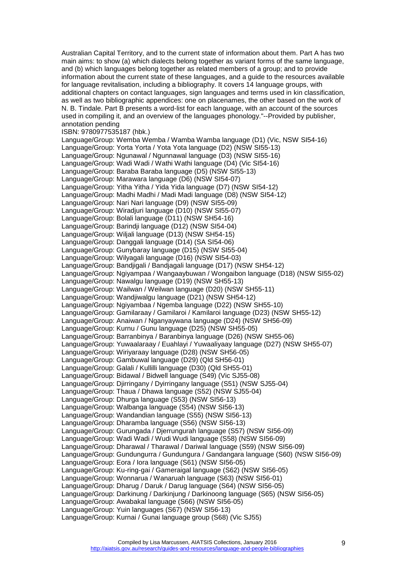Australian Capital Territory, and to the current state of information about them. Part A has two main aims: to show (a) which dialects belong together as variant forms of the same language, and (b) which languages belong together as related members of a group; and to provide information about the current state of these languages, and a guide to the resources available for language revitalisation, including a bibliography. It covers 14 language groups, with additional chapters on contact languages, sign languages and terms used in kin classification, as well as two bibliographic appendices: one on placenames, the other based on the work of N. B. Tindale. Part B presents a word-list for each language, with an account of the sources used in compiling it, and an overview of the languages phonology."--Provided by publisher, annotation pending ISBN: 9780977535187 (hbk.) Language/Group: Wemba Wemba / Wamba Wamba language (D1) (Vic, NSW SI54-16) Language/Group: Yorta Yorta / Yota Yota language (D2) (NSW SI55-13) Language/Group: Ngunawal / Ngunnawal language (D3) (NSW SI55-16) Language/Group: Wadi Wadi / Wathi Wathi language (D4) (Vic SI54-16) Language/Group: Baraba Baraba language (D5) (NSW SI55-13) Language/Group: Marawara language (D6) (NSW SI54-07) Language/Group: Yitha Yitha / Yida Yida language (D7) (NSW SI54-12) Language/Group: Madhi Madhi / Madi Madi language (D8) (NSW SI54-12) Language/Group: Nari Nari language (D9) (NSW SI55-09) Language/Group: Wiradjuri language (D10) (NSW SI55-07) Language/Group: Bolali language (D11) (NSW SH54-16) Language/Group: Barindji language (D12) (NSW SI54-04) Language/Group: Wiljali language (D13) (NSW SH54-15) Language/Group: Danggali language (D14) (SA SI54-06) Language/Group: Gunybaray language (D15) (NSW SI55-04) Language/Group: Wilyagali language (D16) (NSW SI54-03) Language/Group: Bandjigali / Bandjagali language (D17) (NSW SH54-12) Language/Group: Ngiyampaa / Wangaaybuwan / Wongaibon language (D18) (NSW SI55-02) Language/Group: Nawalgu language (D19) (NSW SH55-13) Language/Group: Wailwan / Weilwan language (D20) (NSW SH55-11) Language/Group: Wandjiwalgu language (D21) (NSW SH54-12) Language/Group: Ngiyambaa / Ngemba language (D22) (NSW SH55-10) Language/Group: Gamilaraay / Gamilaroi / Kamilaroi language (D23) (NSW SH55-12) Language/Group: Anaiwan / Nganyaywana language (D24) (NSW SH56-09) Language/Group: Kurnu / Gunu language (D25) (NSW SH55-05) Language/Group: Barranbinya / Baranbinya language (D26) (NSW SH55-06) Language/Group: Yuwaalaraay / Euahlayi / Yuwaaliyaay language (D27) (NSW SH55-07) Language/Group: Wiriyaraay language (D28) (NSW SH56-05) Language/Group: Gambuwal language (D29) (Qld SH56-01) Language/Group: Galali / Kullilli language (D30) (Qld SH55-01) Language/Group: Bidawal / Bidwell language (S49) (Vic SJ55-08) Language/Group: Djirringany / Dyirringany language (S51) (NSW SJ55-04) Language/Group: Thaua / Dhawa language (S52) (NSW SJ55-04) Language/Group: Dhurga language (S53) (NSW SI56-13) Language/Group: Walbanga language (S54) (NSW SI56-13) Language/Group: Wandandian language (S55) (NSW SI56-13) Language/Group: Dharamba language (S56) (NSW SI56-13) Language/Group: Gurungada / Djerrungurah language (S57) (NSW SI56-09) Language/Group: Wadi Wadi / Wudi Wudi language (S58) (NSW SI56-09) Language/Group: Dharawal / Tharawal / Dariwal language (S59) (NSW SI56-09) Language/Group: Gundungurra / Gundungura / Gandangara language (S60) (NSW SI56-09) Language/Group: Eora / Iora language (S61) (NSW SI56-05) Language/Group: Ku-ring-gai / Gameraigal language (S62) (NSW SI56-05) Language/Group: Wonnarua / Wanaruah language (S63) (NSW SI56-01) Language/Group: Dharug / Daruk / Darug language (S64) (NSW SI56-05) Language/Group: Darkinung / Darkinjung / Darkinoong language (S65) (NSW SI56-05) Language/Group: Awabakal language (S66) (NSW SI56-05) Language/Group: Yuin languages (S67) (NSW SI56-13) Language/Group: Kurnai / Gunai language group (S68) (Vic SJ55)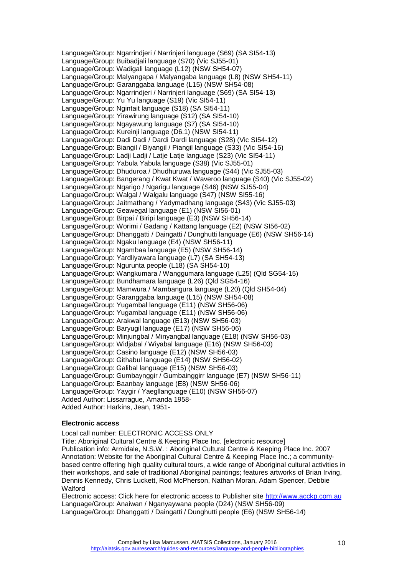Language/Group: Ngarrindjeri / Narrinjeri language (S69) (SA SI54-13) Language/Group: Buibadjali language (S70) (Vic SJ55-01) Language/Group: Wadigali language (L12) (NSW SH54-07) Language/Group: Malyangapa / Malyangaba language (L8) (NSW SH54-11) Language/Group: Garanggaba language (L15) (NSW SH54-08) Language/Group: Ngarrindjeri / Narrinjeri language (S69) (SA SI54-13) Language/Group: Yu Yu language (S19) (Vic SI54-11) Language/Group: Ngintait language (S18) (SA SI54-11) Language/Group: Yirawirung language (S12) (SA SI54-10) Language/Group: Ngayawung language (S7) (SA SI54-10) Language/Group: Kureinji language (D6.1) (NSW SI54-11) Language/Group: Dadi Dadi / Dardi Dardi language (S28) (Vic SI54-12) Language/Group: Biangil / Biyangil / Piangil language (S33) (Vic SI54-16) Language/Group: Ladji Ladji / Latje Latje language (S23) (Vic SI54-11) Language/Group: Yabula Yabula language (S38) (Vic SJ55-01) Language/Group: Dhuduroa / Dhudhuruwa language (S44) (Vic SJ55-03) Language/Group: Bangerang / Kwat Kwat / Waveroo language (S40) (Vic SJ55-02) Language/Group: Ngarigo / Ngarigu language (S46) (NSW SJ55-04) Language/Group: Walgal / Walgalu language (S47) (NSW SI55-16) Language/Group: Jaitmathang / Yadymadhang language (S43) (Vic SJ55-03) Language/Group: Geawegal language (E1) (NSW SI56-01) Language/Group: Birpai / Biripi language (E3) (NSW SH56-14) Language/Group: Worimi / Gadang / Kattang language (E2) (NSW SI56-02) Language/Group: Dhanggatti / Daingatti / Dunghutti language (E6) (NSW SH56-14) Language/Group: Ngaku language (E4) (NSW SH56-11) Language/Group: Ngambaa language (E5) (NSW SH56-14) Language/Group: Yardliyawara language (L7) (SA SH54-13) Language/Group: Ngurunta people (L18) (SA SH54-10) Language/Group: Wangkumara / Wanggumara language (L25) (Qld SG54-15) Language/Group: Bundhamara language (L26) (Qld SG54-16) Language/Group: Mamwura / Mambangura language (L20) (Qld SH54-04) Language/Group: Garanggaba language (L15) (NSW SH54-08) Language/Group: Yugambal language (E11) (NSW SH56-06) Language/Group: Yugambal language (E11) (NSW SH56-06) Language/Group: Arakwal language (E13) (NSW SH56-03) Language/Group: Baryugil language (E17) (NSW SH56-06) Language/Group: Minjungbal / Minyangbal language (E18) (NSW SH56-03) Language/Group: Widjabal / Wiyabal language (E16) (NSW SH56-03) Language/Group: Casino language (E12) (NSW SH56-03) Language/Group: Githabul language (E14) (NSW SH56-02) Language/Group: Galibal language (E15) (NSW SH56-03) Language/Group: Gumbaynggir / Gumbainggirr language (E7) (NSW SH56-11) Language/Group: Baanbay language (E8) (NSW SH56-06) Language/Group: Yaygir / Yaegllanguage (E10) (NSW SH56-07) Added Author: Lissarrague, Amanda 1958- Added Author: Harkins, Jean, 1951-

#### <span id="page-9-0"></span>**Electronic access**

Local call number: ELECTRONIC ACCESS ONLY Title: Aboriginal Cultural Centre & Keeping Place Inc. [electronic resource] Publication info: Armidale, N.S.W. : Aboriginal Cultural Centre & Keeping Place Inc. 2007 Annotation: Website for the Aboriginal Cultural Centre & Keeping Place Inc.; a communitybased centre offering high quality cultural tours, a wide range of Aboriginal cultural activities in their workshops, and sale of traditional Aboriginal paintings; features artworks of Brian Irving, Dennis Kennedy, Chris Luckett, Rod McPherson, Nathan Moran, Adam Spencer, Debbie Walford

Electronic access: Click here for electronic access to Publisher site [http://www.acckp.com.au](http://www.acckp.com.au/) Language/Group: Anaiwan / Nganyaywana people (D24) (NSW SH56-09) Language/Group: Dhanggatti / Daingatti / Dunghutti people (E6) (NSW SH56-14)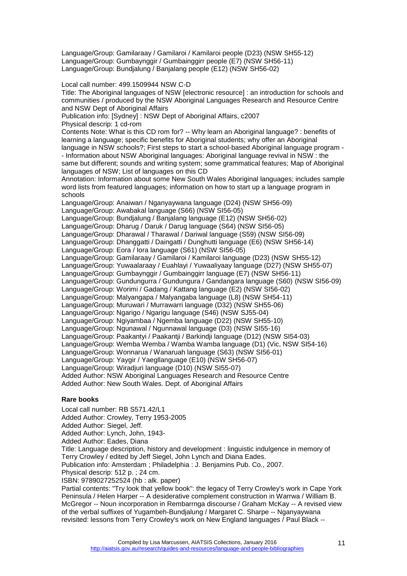Language/Group: Gamilaraay / Gamilaroi / Kamilaroi people (D23) (NSW SH55-12) Language/Group: Gumbaynggir / Gumbainggirr people (E7) (NSW SH56-11) Language/Group: Bundjalung / Banjalang people (E12) (NSW SH56-02)

Local call number: 499.1509944 NSW C-D

Title: The Aboriginal languages of NSW [electronic resource] : an introduction for schools and communities / produced by the NSW Aboriginal Languages Research and Resource Centre and NSW Dept of Aboriginal Affairs

Publication info: [Sydney] : NSW Dept of Aboriginal Affairs, c2007

Physical descrip: 1 cd-rom

Contents Note: What is this CD rom for? -- Why learn an Aboriginal language? : benefits of learning a language; specific benefits for Aboriginal students; why offer an Aboriginal language in NSW schools?; First steps to start a school-based Aboriginal language program -

- Information about NSW Aboriginal languages: Aboriginal language revival in NSW : the same but different; sounds and writing system; some grammatical features; Map of Aboriginal languages of NSW; List of languages on this CD

Annotation: Information about some New South Wales Aboriginal languages; includes sample word lists from featured languages; information on how to start up a language program in schools

Language/Group: Anaiwan / Nganyaywana language (D24) (NSW SH56-09) Language/Group: Awabakal language (S66) (NSW SI56-05)

Language/Group: Bundjalung / Banjalang language (E12) (NSW SH56-02)

Language/Group: Dharug / Daruk / Darug language (S64) (NSW SI56-05)

Language/Group: Dharawal / Tharawal / Dariwal language (S59) (NSW SI56-09)

Language/Group: Dhanggatti / Daingatti / Dunghutti language (E6) (NSW SH56-14)

Language/Group: Eora / Iora language (S61) (NSW SI56-05)

Language/Group: Gamilaraay / Gamilaroi / Kamilaroi language (D23) (NSW SH55-12)

Language/Group: Yuwaalaraay / Euahlayi / Yuwaaliyaay language (D27) (NSW SH55-07)

Language/Group: Gumbaynggir / Gumbainggirr language (E7) (NSW SH56-11)

Language/Group: Gundungurra / Gundungura / Gandangara language (S60) (NSW SI56-09)

Language/Group: Worimi / Gadang / Kattang language (E2) (NSW SI56-02)

Language/Group: Malyangapa / Malyangaba language (L8) (NSW SH54-11)

Language/Group: Muruwari / Murrawarri language (D32) (NSW SH55-06)

Language/Group: Ngarigo / Ngarigu language (S46) (NSW SJ55-04)

Language/Group: Ngiyambaa / Ngemba language (D22) (NSW SH55-10)

Language/Group: Ngunawal / Ngunnawal language (D3) (NSW SI55-16)

Language/Group: Paakantyi / Paakantji / Barkindji language (D12) (NSW SI54-03)

Language/Group: Wemba Wemba / Wamba Wamba language (D1) (Vic, NSW SI54-16)

Language/Group: Wonnarua / Wanaruah language (S63) (NSW SI56-01)

Language/Group: Yaygir / Yaegllanguage (E10) (NSW SH56-07)

Language/Group: Wiradjuri language (D10) (NSW SI55-07)

Added Author: NSW Aboriginal Languages Research and Resource Centre

<span id="page-10-0"></span>Added Author: New South Wales. Dept. of Aboriginal Affairs

# **Rare books**

Local call number: RB S571.42/L1 Added Author: Crowley, Terry 1953-2005 Added Author: Siegel, Jeff. Added Author: Lynch, John, 1943- Added Author: Eades, Diana Title: Language description, history and development : linguistic indulgence in memory of Terry Crowley / edited by Jeff Siegel, John Lynch and Diana Eades. Publication info: Amsterdam ; Philadelphia : J. Benjamins Pub. Co., 2007. Physical descrip: 512 p. ; 24 cm. ISBN: 9789027252524 (hb : alk. paper) Partial contents: "Try look that yellow book": the legacy of Terry Crowley's work in Cape York Peninsula / Helen Harper -- A desiderative complement construction in Warrwa / William B. McGregor -- Noun incorporation in Rembarrnga discourse / Graham McKay -- A revised view

of the verbal suffixes of Yugambeh-Bundjalung / Margaret C. Sharpe -- Nganyaywana revisited: lessons from Terry Crowley's work on New England languages / Paul Black --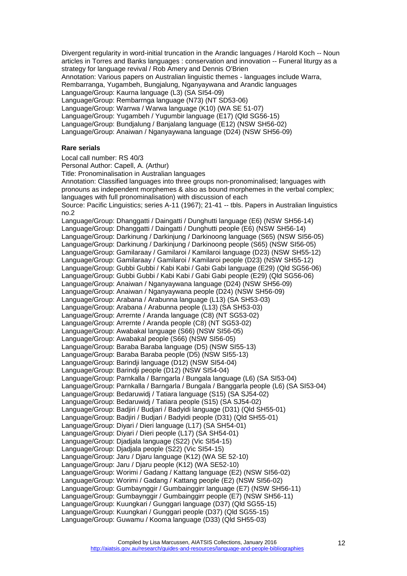Divergent regularity in word-initial truncation in the Arandic languages / Harold Koch -- Noun articles in Torres and Banks languages : conservation and innovation -- Funeral liturgy as a strategy for language revival / Rob Amery and Dennis O'Brien

Annotation: Various papers on Australian linguistic themes - languages include Warra,

Rembarranga, Yugambeh, Bungjalung, Nganyaywana and Arandic languages

Language/Group: Kaurna language (L3) (SA SI54-09)

Language/Group: Rembarrnga language (N73) (NT SD53-06)

Language/Group: Warrwa / Warwa language (K10) (WA SE 51-07)

Language/Group: Yugambeh / Yugumbir language (E17) (Qld SG56-15)

Language/Group: Bundjalung / Banjalang language (E12) (NSW SH56-02)

<span id="page-11-0"></span>Language/Group: Anaiwan / Nganyaywana language (D24) (NSW SH56-09)

### **Rare serials**

Local call number: RS 40/3

Personal Author: Capell, A. (Arthur)

Title: Pronominalisation in Australian languages

Annotation: Classified languages into three groups non-pronominalised; languages with pronouns as independent morphemes & also as bound morphemes in the verbal complex; languages with full pronominalisation) with discussion of each Source: Pacific Linguistics; series A-11 (1967); 21-41 -- tbls. Papers in Australian linguistics no.2 Language/Group: Dhanggatti / Daingatti / Dunghutti language (E6) (NSW SH56-14) Language/Group: Dhanggatti / Daingatti / Dunghutti people (E6) (NSW SH56-14) Language/Group: Darkinung / Darkinjung / Darkinoong language (S65) (NSW SI56-05) Language/Group: Darkinung / Darkinjung / Darkinoong people (S65) (NSW SI56-05) Language/Group: Gamilaraay / Gamilaroi / Kamilaroi language (D23) (NSW SH55-12) Language/Group: Gamilaraay / Gamilaroi / Kamilaroi people (D23) (NSW SH55-12) Language/Group: Gubbi Gubbi / Kabi Kabi / Gabi Gabi language (E29) (Qld SG56-06) Language/Group: Gubbi Gubbi / Kabi Kabi / Gabi Gabi people (E29) (Qld SG56-06) Language/Group: Anaiwan / Nganyaywana language (D24) (NSW SH56-09) Language/Group: Anaiwan / Nganyaywana people (D24) (NSW SH56-09) Language/Group: Arabana / Arabunna language (L13) (SA SH53-03) Language/Group: Arabana / Arabunna people (L13) (SA SH53-03) Language/Group: Arrernte / Aranda language (C8) (NT SG53-02) Language/Group: Arrernte / Aranda people (C8) (NT SG53-02) Language/Group: Awabakal language (S66) (NSW SI56-05) Language/Group: Awabakal people (S66) (NSW SI56-05) Language/Group: Baraba Baraba language (D5) (NSW SI55-13) Language/Group: Baraba Baraba people (D5) (NSW SI55-13) Language/Group: Barindji language (D12) (NSW SI54-04) Language/Group: Barindji people (D12) (NSW SI54-04) Language/Group: Parnkalla / Barngarla / Bungala language (L6) (SA SI53-04) Language/Group: Parnkalla / Barngarla / Bungala / Banggarla people (L6) (SA SI53-04) Language/Group: Bedaruwidj / Tatiara language (S15) (SA SJ54-02) Language/Group: Bedaruwidj / Tatiara people (S15) (SA SJ54-02) Language/Group: Badjiri / Budjari / Badyidi language (D31) (Qld SH55-01) Language/Group: Badjiri / Budjari / Badyidi people (D31) (Qld SH55-01) Language/Group: Diyari / Dieri language (L17) (SA SH54-01) Language/Group: Diyari / Dieri people (L17) (SA SH54-01) Language/Group: Djadjala language (S22) (Vic SI54-15) Language/Group: Djadjala people (S22) (Vic SI54-15) Language/Group: Jaru / Djaru language (K12) (WA SE 52-10) Language/Group: Jaru / Djaru people (K12) (WA SE52-10) Language/Group: Worimi / Gadang / Kattang language (E2) (NSW SI56-02) Language/Group: Worimi / Gadang / Kattang people (E2) (NSW SI56-02) Language/Group: Gumbaynggir / Gumbainggirr language (E7) (NSW SH56-11)

Language/Group: Gumbaynggir / Gumbainggirr people (E7) (NSW SH56-11)

Language/Group: Kuungkari / Gunggari language (D37) (Qld SG55-15)

Language/Group: Kuungkari / Gunggari people (D37) (Qld SG55-15)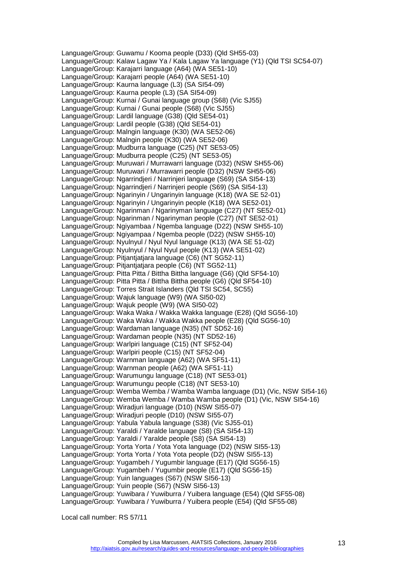Language/Group: Guwamu / Kooma people (D33) (Qld SH55-03) Language/Group: Kalaw Lagaw Ya / Kala Lagaw Ya language (Y1) (Qld TSI SC54-07) Language/Group: Karajarri language (A64) (WA SE51-10) Language/Group: Karajarri people (A64) (WA SE51-10) Language/Group: Kaurna language (L3) (SA SI54-09) Language/Group: Kaurna people (L3) (SA SI54-09) Language/Group: Kurnai / Gunai language group (S68) (Vic SJ55) Language/Group: Kurnai / Gunai people (S68) (Vic SJ55) Language/Group: Lardil language (G38) (Qld SE54-01) Language/Group: Lardil people (G38) (Qld SE54-01) Language/Group: Malngin language (K30) (WA SE52-06) Language/Group: Malngin people (K30) (WA SE52-06) Language/Group: Mudburra language (C25) (NT SE53-05) Language/Group: Mudburra people (C25) (NT SE53-05) Language/Group: Muruwari / Murrawarri language (D32) (NSW SH55-06) Language/Group: Muruwari / Murrawarri people (D32) (NSW SH55-06) Language/Group: Ngarrindjeri / Narrinjeri language (S69) (SA SI54-13) Language/Group: Ngarrindjeri / Narrinjeri people (S69) (SA SI54-13) Language/Group: Ngarinyin / Ungarinyin language (K18) (WA SE 52-01) Language/Group: Ngarinyin / Ungarinyin people (K18) (WA SE52-01) Language/Group: Ngarinman / Ngarinyman language (C27) (NT SE52-01) Language/Group: Ngarinman / Ngarinyman people (C27) (NT SE52-01) Language/Group: Ngiyambaa / Ngemba language (D22) (NSW SH55-10) Language/Group: Ngiyampaa / Ngemba people (D22) (NSW SH55-10) Language/Group: Nyulnyul / Nyul Nyul language (K13) (WA SE 51-02) Language/Group: Nyulnyul / Nyul Nyul people (K13) (WA SE51-02) Language/Group: Pitjantjatjara language (C6) (NT SG52-11) Language/Group: Pitjantjatjara people (C6) (NT SG52-11) Language/Group: Pitta Pitta / Bittha Bittha language (G6) (Qld SF54-10) Language/Group: Pitta Pitta / Bittha Bittha people (G6) (Qld SF54-10) Language/Group: Torres Strait Islanders (Qld TSI SC54, SC55) Language/Group: Wajuk language (W9) (WA SI50-02) Language/Group: Wajuk people (W9) (WA SI50-02) Language/Group: Waka Waka / Wakka Wakka language (E28) (Qld SG56-10) Language/Group: Waka Waka / Wakka Wakka people (E28) (Qld SG56-10) Language/Group: Wardaman language (N35) (NT SD52-16) Language/Group: Wardaman people (N35) (NT SD52-16) Language/Group: Warlpiri language (C15) (NT SF52-04) Language/Group: Warlpiri people (C15) (NT SF52-04) Language/Group: Warnman language (A62) (WA SF51-11) Language/Group: Warnman people (A62) (WA SF51-11) Language/Group: Warumungu language (C18) (NT SE53-01) Language/Group: Warumungu people (C18) (NT SE53-10) Language/Group: Wemba Wemba / Wamba Wamba language (D1) (Vic, NSW SI54-16) Language/Group: Wemba Wemba / Wamba Wamba people (D1) (Vic, NSW SI54-16) Language/Group: Wiradjuri language (D10) (NSW SI55-07) Language/Group: Wiradjuri people (D10) (NSW SI55-07) Language/Group: Yabula Yabula language (S38) (Vic SJ55-01) Language/Group: Yaraldi / Yaralde language (S8) (SA SI54-13) Language/Group: Yaraldi / Yaralde people (S8) (SA SI54-13) Language/Group: Yorta Yorta / Yota Yota language (D2) (NSW SI55-13) Language/Group: Yorta Yorta / Yota Yota people (D2) (NSW SI55-13) Language/Group: Yugambeh / Yugumbir language (E17) (Qld SG56-15) Language/Group: Yugambeh / Yugumbir people (E17) (Qld SG56-15) Language/Group: Yuin languages (S67) (NSW SI56-13) Language/Group: Yuin people (S67) (NSW SI56-13) Language/Group: Yuwibara / Yuwiburra / Yuibera language (E54) (Qld SF55-08) Language/Group: Yuwibara / Yuwiburra / Yuibera people (E54) (Qld SF55-08)

Local call number: RS 57/11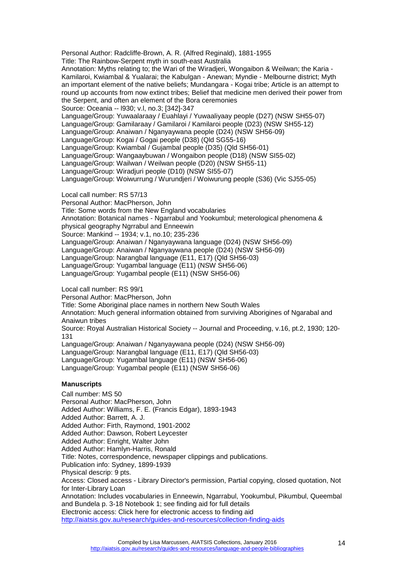Personal Author: Radcliffe-Brown, A. R. (Alfred Reginald), 1881-1955

Title: The Rainbow-Serpent myth in south-east Australia

Annotation: Myths relating to; the Wari of the Wiradjeri, Wongaibon & Weilwan; the Karia - Kamilaroi, Kwiambal & Yualarai; the Kabulgan - Anewan; Myndie - Melbourne district; Myth an important element of the native beliefs; Mundangara - Kogai tribe; Article is an attempt to round up accounts from now extinct tribes; Belief that medicine men derived their power from the Serpent, and often an element of the Bora ceremonies

Source: Oceania -- l930; v.l, no.3; [342]-347

Language/Group: Yuwaalaraay / Euahlayi / Yuwaaliyaay people (D27) (NSW SH55-07)

Language/Group: Gamilaraay / Gamilaroi / Kamilaroi people (D23) (NSW SH55-12)

Language/Group: Anaiwan / Nganyaywana people (D24) (NSW SH56-09)

Language/Group: Kogai / Gogai people (D38) (Qld SG55-16)

Language/Group: Kwiambal / Gujambal people (D35) (Qld SH56-01)

Language/Group: Wangaaybuwan / Wongaibon people (D18) (NSW SI55-02)

Language/Group: Wailwan / Weilwan people (D20) (NSW SH55-11)

Language/Group: Wiradjuri people (D10) (NSW SI55-07)

Language/Group: Woiwurrung / Wurundjeri / Woiwurung people (S36) (Vic SJ55-05)

Local call number: RS 57/13

Personal Author: MacPherson, John

Title: Some words from the New England vocabularies

Annotation: Botanical names - Ngarrabul and Yookumbul; meterological phenomena & physical geography Ngrrabul and Enneewin

Source: Mankind -- 1934; v.1, no.10; 235-236

Language/Group: Anaiwan / Nganyaywana language (D24) (NSW SH56-09)

Language/Group: Anaiwan / Nganyaywana people (D24) (NSW SH56-09)

Language/Group: Narangbal language (E11, E17) (Qld SH56-03)

Language/Group: Yugambal language (E11) (NSW SH56-06)

Language/Group: Yugambal people (E11) (NSW SH56-06)

Local call number: RS 99/1

Personal Author: MacPherson, John

Title: Some Aboriginal place names in northern New South Wales

Annotation: Much general information obtained from surviving Aborigines of Ngarabal and Anaiwun tribes

Source: Royal Australian Historical Society -- Journal and Proceeding, v.16, pt.2, 1930; 120- 131

Language/Group: Anaiwan / Nganyaywana people (D24) (NSW SH56-09)

Language/Group: Narangbal language (E11, E17) (Qld SH56-03)

Language/Group: Yugambal language (E11) (NSW SH56-06)

<span id="page-13-0"></span>Language/Group: Yugambal people (E11) (NSW SH56-06)

### **Manuscripts**

Call number: MS 50 Personal Author: MacPherson, John Added Author: Williams, F. E. (Francis Edgar), 1893-1943 Added Author: Barrett, A. J. Added Author: Firth, Raymond, 1901-2002 Added Author: Dawson, Robert Leycester Added Author: Enright, Walter John Added Author: Hamlyn-Harris, Ronald Title: Notes, correspondence, newspaper clippings and publications. Publication info: Sydney, 1899-1939 Physical descrip: 9 pts. Access: Closed access - Library Director's permission, Partial copying, closed quotation, Not for Inter-Library Loan Annotation: Includes vocabularies in Enneewin, Ngarrabul, Yookumbul, Pikumbul, Queembal and Bundela p. 3-18 Notebook 1; see finding aid for full details Electronic access: Click here for electronic access to finding aid <http://aiatsis.gov.au/research/guides-and-resources/collection-finding-aids>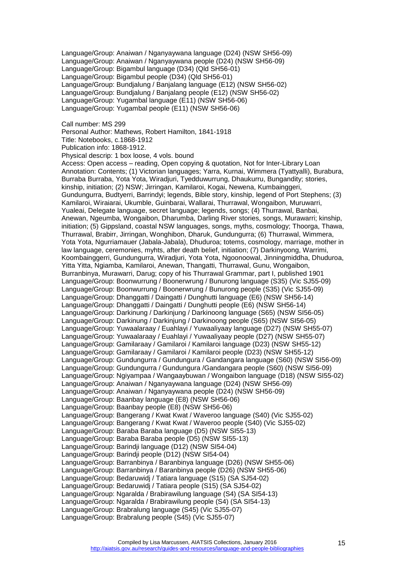Language/Group: Anaiwan / Nganyaywana language (D24) (NSW SH56-09) Language/Group: Anaiwan / Nganyaywana people (D24) (NSW SH56-09) Language/Group: Bigambul language (D34) (Qld SH56-01) Language/Group: Bigambul people (D34) (Qld SH56-01) Language/Group: Bundjalung / Banjalang language (E12) (NSW SH56-02) Language/Group: Bundjalung / Banjalang people (E12) (NSW SH56-02) Language/Group: Yugambal language (E11) (NSW SH56-06) Language/Group: Yugambal people (E11) (NSW SH56-06)

Call number: MS 299

Personal Author: Mathews, Robert Hamilton, 1841-1918

Title: Notebooks, c.1868-1912

Publication info: 1868-1912.

Physical descrip: 1 box loose, 4 vols. bound

Access: Open access – reading, Open copying & quotation, Not for Inter-Library Loan Annotation: Contents; (1) Victorian languages; Yarra, Kurnai, Wimmera (Tyattyalli), Burabura, Burraba Burraba, Yota Yota, Wiradjuri, Tyedduwurrung, Dhaukurru, Bungandity; stories, kinship, initiation; (2) NSW; Jirringan, Kamilaroi, Kogai, Newena, Kumbainggeri, Gundungurra, Budtyerri, Barrindyi; legends, Bible story, kinship, legend of Port Stephens; (3) Kamilaroi, Wiraiarai, Ukumble, Guinbarai, Wallarai, Thurrawal, Wongaibon, Muruwarri, Yualeai, Delegate language, secret language; legends, songs; (4) Thurrawal, Banbai, Anewan, Ngeumba, Wongaibon, Dharumba, Darling River stories, songs, Murawarri; kinship, initiation; (5) Gippsland, coastal NSW languages, songs, myths, cosmology; Thoorga, Thawa, Thurrawal, Brabirr, Jirringan, Wonghibon, Dharuk, Gundungurra; (6) Thurrawal, Wimmera, Yota Yota, Ngurriamauer (Jabala-Jabala), Dhuduroa; totems, cosmology, marriage, mother in law language, ceremonies, myhts, after death belief, initiation; (7) Darkinyoong, Warrimi, Koombainggerri, Gundungurra, Wiradjuri, Yota Yota, Ngoonoowal, Jinningmiddha, Dhuduroa, Yitta Yitta, Ngiamba, Kamilaroi, Anewan, Thangatti, Thurrawal, Gunu, Wongaibon, Burranbinya, Murawarri, Darug; copy of his Thurrawal Grammar, part I, published 1901 Language/Group: Boonwurrung / Boonerwrung / Bunurong language (S35) (Vic SJ55-09) Language/Group: Boonwurrung / Boonerwrung / Bunurong people (S35) (Vic SJ55-09) Language/Group: Dhanggatti / Daingatti / Dunghutti language (E6) (NSW SH56-14) Language/Group: Dhanggatti / Daingatti / Dunghutti people (E6) (NSW SH56-14) Language/Group: Darkinung / Darkinjung / Darkinoong language (S65) (NSW SI56-05) Language/Group: Darkinung / Darkinjung / Darkinoong people (S65) (NSW SI56-05) Language/Group: Yuwaalaraay / Euahlayi / Yuwaaliyaay language (D27) (NSW SH55-07) Language/Group: Yuwaalaraay / Euahlayi / Yuwaaliyaay people (D27) (NSW SH55-07) Language/Group: Gamilaraay / Gamilaroi / Kamilaroi language (D23) (NSW SH55-12) Language/Group: Gamilaraay / Gamilaroi / Kamilaroi people (D23) (NSW SH55-12) Language/Group: Gundungurra / Gundungura / Gandangara language (S60) (NSW SI56-09) Language/Group: Gundungurra / Gundungura /Gandangara people (S60) (NSW SI56-09) Language/Group: Ngiyampaa / Wangaaybuwan / Wongaibon language (D18) (NSW SI55-02) Language/Group: Anaiwan / Nganyaywana language (D24) (NSW SH56-09) Language/Group: Anaiwan / Nganyaywana people (D24) (NSW SH56-09) Language/Group: Baanbay language (E8) (NSW SH56-06) Language/Group: Baanbay people (E8) (NSW SH56-06) Language/Group: Bangerang / Kwat Kwat / Waveroo language (S40) (Vic SJ55-02) Language/Group: Bangerang / Kwat Kwat / Waveroo people (S40) (Vic SJ55-02) Language/Group: Baraba Baraba language (D5) (NSW SI55-13) Language/Group: Baraba Baraba people (D5) (NSW SI55-13) Language/Group: Barindji language (D12) (NSW SI54-04) Language/Group: Barindji people (D12) (NSW SI54-04) Language/Group: Barranbinya / Baranbinya language (D26) (NSW SH55-06) Language/Group: Barranbinya / Baranbinya people (D26) (NSW SH55-06) Language/Group: Bedaruwidj / Tatiara language (S15) (SA SJ54-02) Language/Group: Bedaruwidj / Tatiara people (S15) (SA SJ54-02) Language/Group: Ngaralda / Brabirawilung language (S4) (SA SI54-13) Language/Group: Ngaralda / Brabirawilung people (S4) (SA SI54-13) Language/Group: Brabralung language (S45) (Vic SJ55-07) Language/Group: Brabralung people (S45) (Vic SJ55-07)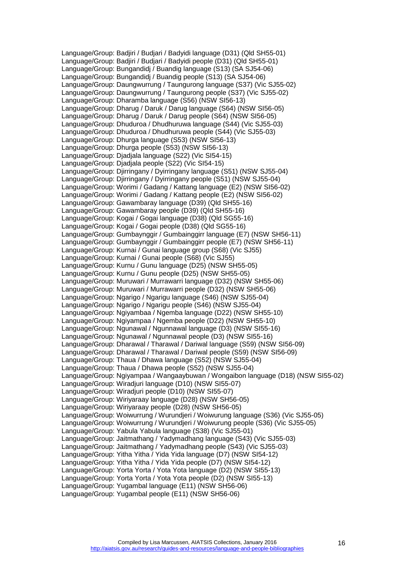Language/Group: Badjiri / Budjari / Badyidi language (D31) (Qld SH55-01) Language/Group: Badjiri / Budjari / Badyidi people (D31) (Qld SH55-01) Language/Group: Bungandidj / Buandig language (S13) (SA SJ54-06) Language/Group: Bungandidj / Buandig people (S13) (SA SJ54-06) Language/Group: Daungwurrung / Taungurong language (S37) (Vic SJ55-02) Language/Group: Daungwurrung / Taungurong people (S37) (Vic SJ55-02) Language/Group: Dharamba language (S56) (NSW SI56-13) Language/Group: Dharug / Daruk / Darug language (S64) (NSW SI56-05) Language/Group: Dharug / Daruk / Darug people (S64) (NSW SI56-05) Language/Group: Dhuduroa / Dhudhuruwa language (S44) (Vic SJ55-03) Language/Group: Dhuduroa / Dhudhuruwa people (S44) (Vic SJ55-03) Language/Group: Dhurga language (S53) (NSW SI56-13) Language/Group: Dhurga people (S53) (NSW SI56-13) Language/Group: Djadjala language (S22) (Vic SI54-15) Language/Group: Djadjala people (S22) (Vic SI54-15) Language/Group: Djirringany / Dyirringany language (S51) (NSW SJ55-04) Language/Group: Djirringany / Dyirringany people (S51) (NSW SJ55-04) Language/Group: Worimi / Gadang / Kattang language (E2) (NSW SI56-02) Language/Group: Worimi / Gadang / Kattang people (E2) (NSW SI56-02) Language/Group: Gawambaray language (D39) (Qld SH55-16) Language/Group: Gawambaray people (D39) (Qld SH55-16) Language/Group: Kogai / Gogai language (D38) (Qld SG55-16) Language/Group: Kogai / Gogai people (D38) (Qld SG55-16) Language/Group: Gumbaynggir / Gumbainggirr language (E7) (NSW SH56-11) Language/Group: Gumbaynggir / Gumbainggirr people (E7) (NSW SH56-11) Language/Group: Kurnai / Gunai language group (S68) (Vic SJ55) Language/Group: Kurnai / Gunai people (S68) (Vic SJ55) Language/Group: Kurnu / Gunu language (D25) (NSW SH55-05) Language/Group: Kurnu / Gunu people (D25) (NSW SH55-05) Language/Group: Muruwari / Murrawarri language (D32) (NSW SH55-06) Language/Group: Muruwari / Murrawarri people (D32) (NSW SH55-06) Language/Group: Ngarigo / Ngarigu language (S46) (NSW SJ55-04) Language/Group: Ngarigo / Ngarigu people (S46) (NSW SJ55-04) Language/Group: Ngiyambaa / Ngemba language (D22) (NSW SH55-10) Language/Group: Ngiyampaa / Ngemba people (D22) (NSW SH55-10) Language/Group: Ngunawal / Ngunnawal language (D3) (NSW SI55-16) Language/Group: Ngunawal / Ngunnawal people (D3) (NSW SI55-16) Language/Group: Dharawal / Tharawal / Dariwal language (S59) (NSW SI56-09) Language/Group: Dharawal / Tharawal / Dariwal people (S59) (NSW SI56-09) Language/Group: Thaua / Dhawa language (S52) (NSW SJ55-04) Language/Group: Thaua / Dhawa people (S52) (NSW SJ55-04) Language/Group: Ngiyampaa / Wangaaybuwan / Wongaibon language (D18) (NSW SI55-02) Language/Group: Wiradjuri language (D10) (NSW SI55-07) Language/Group: Wiradjuri people (D10) (NSW SI55-07) Language/Group: Wiriyaraay language (D28) (NSW SH56-05) Language/Group: Wiriyaraay people (D28) (NSW SH56-05) Language/Group: Woiwurrung / Wurundjeri / Woiwurung language (S36) (Vic SJ55-05) Language/Group: Woiwurrung / Wurundjeri / Woiwurung people (S36) (Vic SJ55-05) Language/Group: Yabula Yabula language (S38) (Vic SJ55-01) Language/Group: Jaitmathang / Yadymadhang language (S43) (Vic SJ55-03) Language/Group: Jaitmathang / Yadymadhang people (S43) (Vic SJ55-03) Language/Group: Yitha Yitha / Yida Yida language (D7) (NSW SI54-12) Language/Group: Yitha Yitha / Yida Yida people (D7) (NSW SI54-12) Language/Group: Yorta Yorta / Yota Yota language (D2) (NSW SI55-13) Language/Group: Yorta Yorta / Yota Yota people (D2) (NSW SI55-13) Language/Group: Yugambal language (E11) (NSW SH56-06) Language/Group: Yugambal people (E11) (NSW SH56-06)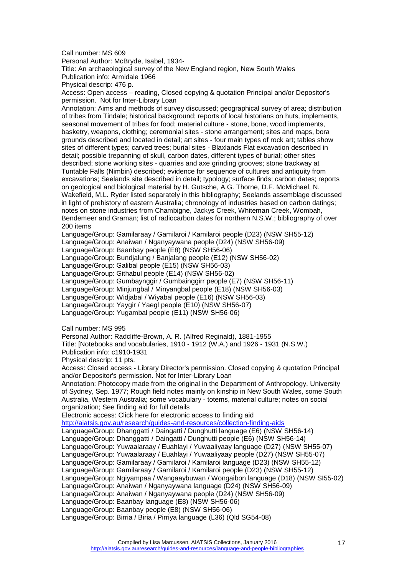Call number: MS 609

Personal Author: McBryde, Isabel, 1934-

Title: An archaeological survey of the New England region, New South Wales Publication info: Armidale 1966

Physical descrip: 476 p.

Access: Open access – reading, Closed copying & quotation Principal and/or Depositor's permission. Not for Inter-Library Loan

Annotation: Aims and methods of survey discussed; geographical survey of area; distribution of tribes from Tindale; historical background; reports of local historians on huts, implements, seasonal movement of tribes for food; material culture - stone, bone, wood implements, basketry, weapons, clothing; ceremonial sites - stone arrangement; sites and maps, bora grounds described and located in detail; art sites - four main types of rock art; tables show sites of different types; carved trees; burial sites - Blaxlands Flat excavation described in detail; possible trepanning of skull, carbon dates, different types of burial; other sites described; stone working sites - quarries and axe grinding grooves; stone trackway at Tuntable Falls (Nimbin) described; evidence for sequence of cultures and antiquity from excavations; Seelands site described in detail; typology; surface finds; carbon dates; reports on geological and biological material by H. Gutsche, A.G. Thorne, D.F. McMichael, N. Wakefield, M.L. Ryder listed separately in this bibliography; Seelands assemblage discussed in light of prehistory of eastern Australia; chronology of industries based on carbon datings; notes on stone industries from Chambigne, Jackys Creek, Whiteman Creek, Wombah, Bendemeer and Graman; list of radiocarbon dates for northern N.S.W.; bibliography of over 200 items

Language/Group: Gamilaraay / Gamilaroi / Kamilaroi people (D23) (NSW SH55-12)

Language/Group: Anaiwan / Nganyaywana people (D24) (NSW SH56-09)

Language/Group: Baanbay people (E8) (NSW SH56-06)

Language/Group: Bundjalung / Banjalang people (E12) (NSW SH56-02)

Language/Group: Galibal people (E15) (NSW SH56-03)

Language/Group: Githabul people (E14) (NSW SH56-02)

Language/Group: Gumbaynggir / Gumbainggirr people (E7) (NSW SH56-11)

Language/Group: Minjungbal / Minyangbal people (E18) (NSW SH56-03)

Language/Group: Widjabal / Wiyabal people (E16) (NSW SH56-03)

Language/Group: Yaygir / Yaegl people (E10) (NSW SH56-07)

Language/Group: Yugambal people (E11) (NSW SH56-06)

Call number: MS 995

Personal Author: Radcliffe-Brown, A. R. (Alfred Reginald), 1881-1955

Title: [Notebooks and vocabularies, 1910 - 1912 (W.A.) and 1926 - 1931 (N.S.W.)

Publication info: c1910-1931

Physical descrip: 11 pts.

Access: Closed access - Library Director's permission. Closed copying & quotation Principal and/or Depositor's permission. Not for Inter-Library Loan

Annotation: Photocopy made from the original in the Department of Anthropology, University of Sydney, Sep. 1977; Rough field notes mainly on kinship in New South Wales, some South Australia, Western Australia; some vocabulary - totems, material culture; notes on social organization; See finding aid for full details

Electronic access: Click here for electronic access to finding aid

<http://aiatsis.gov.au/research/guides-and-resources/collection-finding-aids>

Language/Group: Dhanggatti / Daingatti / Dunghutti language (E6) (NSW SH56-14) Language/Group: Dhanggatti / Daingatti / Dunghutti people (E6) (NSW SH56-14)

Language/Group: Yuwaalaraay / Euahlayi / Yuwaaliyaay language (D27) (NSW SH55-07)

Language/Group: Yuwaalaraay / Euahlayi / Yuwaaliyaay people (D27) (NSW SH55-07)

Language/Group: Gamilaraay / Gamilaroi / Kamilaroi language (D23) (NSW SH55-12)

Language/Group: Gamilaraay / Gamilaroi / Kamilaroi people (D23) (NSW SH55-12)

Language/Group: Ngiyampaa / Wangaaybuwan / Wongaibon language (D18) (NSW SI55-02)

Language/Group: Anaiwan / Nganyaywana language (D24) (NSW SH56-09)

Language/Group: Anaiwan / Nganyaywana people (D24) (NSW SH56-09)

Language/Group: Baanbay language (E8) (NSW SH56-06)

Language/Group: Baanbay people (E8) (NSW SH56-06) Language/Group: Birria / Biria / Pirriya language (L36) (Qld SG54-08)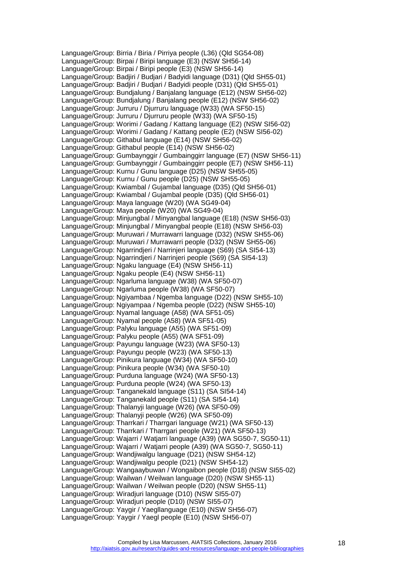Language/Group: Birria / Biria / Pirriya people (L36) (Qld SG54-08) Language/Group: Birpai / Biripi language (E3) (NSW SH56-14) Language/Group: Birpai / Biripi people (E3) (NSW SH56-14) Language/Group: Badjiri / Budjari / Badyidi language (D31) (Qld SH55-01) Language/Group: Badjiri / Budjari / Badyidi people (D31) (Qld SH55-01) Language/Group: Bundjalung / Banjalang language (E12) (NSW SH56-02) Language/Group: Bundjalung / Banjalang people (E12) (NSW SH56-02) Language/Group: Jurruru / Djurruru language (W33) (WA SF50-15) Language/Group: Jurruru / Djurruru people (W33) (WA SF50-15) Language/Group: Worimi / Gadang / Kattang language (E2) (NSW SI56-02) Language/Group: Worimi / Gadang / Kattang people (E2) (NSW SI56-02) Language/Group: Githabul language (E14) (NSW SH56-02) Language/Group: Githabul people (E14) (NSW SH56-02) Language/Group: Gumbaynggir / Gumbainggirr language (E7) (NSW SH56-11) Language/Group: Gumbaynggir / Gumbainggirr people (E7) (NSW SH56-11) Language/Group: Kurnu / Gunu language (D25) (NSW SH55-05) Language/Group: Kurnu / Gunu people (D25) (NSW SH55-05) Language/Group: Kwiambal / Gujambal language (D35) (Qld SH56-01) Language/Group: Kwiambal / Gujambal people (D35) (Qld SH56-01) Language/Group: Maya language (W20) (WA SG49-04) Language/Group: Maya people (W20) (WA SG49-04) Language/Group: Minjungbal / Minyangbal language (E18) (NSW SH56-03) Language/Group: Minjungbal / Minyangbal people (E18) (NSW SH56-03) Language/Group: Muruwari / Murrawarri language (D32) (NSW SH55-06) Language/Group: Muruwari / Murrawarri people (D32) (NSW SH55-06) Language/Group: Ngarrindjeri / Narrinjeri language (S69) (SA SI54-13) Language/Group: Ngarrindjeri / Narrinjeri people (S69) (SA SI54-13) Language/Group: Ngaku language (E4) (NSW SH56-11) Language/Group: Ngaku people (E4) (NSW SH56-11) Language/Group: Ngarluma language (W38) (WA SF50-07) Language/Group: Ngarluma people (W38) (WA SF50-07) Language/Group: Ngiyambaa / Ngemba language (D22) (NSW SH55-10) Language/Group: Ngiyampaa / Ngemba people (D22) (NSW SH55-10) Language/Group: Nyamal language (A58) (WA SF51-05) Language/Group: Nyamal people (A58) (WA SF51-05) Language/Group: Palyku language (A55) (WA SF51-09) Language/Group: Palyku people (A55) (WA SF51-09) Language/Group: Payungu language (W23) (WA SF50-13) Language/Group: Payungu people (W23) (WA SF50-13) Language/Group: Pinikura language (W34) (WA SF50-10) Language/Group: Pinikura people (W34) (WA SF50-10) Language/Group: Purduna language (W24) (WA SF50-13) Language/Group: Purduna people (W24) (WA SF50-13) Language/Group: Tanganekald language (S11) (SA SI54-14) Language/Group: Tanganekald people (S11) (SA SI54-14) Language/Group: Thalanyji language (W26) (WA SF50-09) Language/Group: Thalanyji people (W26) (WA SF50-09) Language/Group: Tharrkari / Tharrgari language (W21) (WA SF50-13) Language/Group: Tharrkari / Tharrgari people (W21) (WA SF50-13) Language/Group: Wajarri / Watjarri language (A39) (WA SG50-7, SG50-11) Language/Group: Wajarri / Watjarri people (A39) (WA SG50-7, SG50-11) Language/Group: Wandjiwalgu language (D21) (NSW SH54-12) Language/Group: Wandjiwalgu people (D21) (NSW SH54-12) Language/Group: Wangaaybuwan / Wongaibon people (D18) (NSW SI55-02) Language/Group: Wailwan / Weilwan language (D20) (NSW SH55-11) Language/Group: Wailwan / Weilwan people (D20) (NSW SH55-11) Language/Group: Wiradjuri language (D10) (NSW SI55-07) Language/Group: Wiradjuri people (D10) (NSW SI55-07) Language/Group: Yaygir / Yaegllanguage (E10) (NSW SH56-07) Language/Group: Yaygir / Yaegl people (E10) (NSW SH56-07)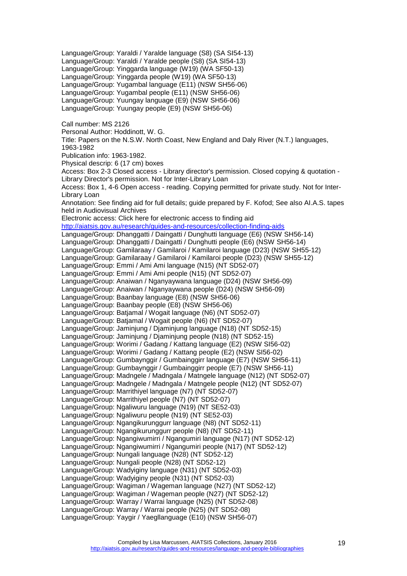Language/Group: Yaraldi / Yaralde language (S8) (SA SI54-13) Language/Group: Yaraldi / Yaralde people (S8) (SA SI54-13) Language/Group: Yinggarda language (W19) (WA SF50-13) Language/Group: Yinggarda people (W19) (WA SF50-13) Language/Group: Yugambal language (E11) (NSW SH56-06) Language/Group: Yugambal people (E11) (NSW SH56-06) Language/Group: Yuungay language (E9) (NSW SH56-06) Language/Group: Yuungay people (E9) (NSW SH56-06) Call number: MS 2126 Personal Author: Hoddinott, W. G. Title: Papers on the N.S.W. North Coast, New England and Daly River (N.T.) languages, 1963-1982 Publication info: 1963-1982. Physical descrip: 6 (17 cm) boxes Access: Box 2-3 Closed access - Library director's permission. Closed copying & quotation - Library Director's permission. Not for Inter-Library Loan Access: Box 1, 4-6 Open access - reading. Copying permitted for private study. Not for Inter-Library Loan Annotation: See finding aid for full details; guide prepared by F. Kofod; See also AI.A.S. tapes held in Audiovisual Archives Electronic access: Click here for electronic access to finding aid <http://aiatsis.gov.au/research/guides-and-resources/collection-finding-aids> Language/Group: Dhanggatti / Daingatti / Dunghutti language (E6) (NSW SH56-14) Language/Group: Dhanggatti / Daingatti / Dunghutti people (E6) (NSW SH56-14) Language/Group: Gamilaraay / Gamilaroi / Kamilaroi language (D23) (NSW SH55-12) Language/Group: Gamilaraay / Gamilaroi / Kamilaroi people (D23) (NSW SH55-12) Language/Group: Emmi / Ami Ami language (N15) (NT SD52-07) Language/Group: Emmi / Ami Ami people (N15) (NT SD52-07) Language/Group: Anaiwan / Nganyaywana language (D24) (NSW SH56-09) Language/Group: Anaiwan / Nganyaywana people (D24) (NSW SH56-09) Language/Group: Baanbay language (E8) (NSW SH56-06) Language/Group: Baanbay people (E8) (NSW SH56-06) Language/Group: Batjamal / Wogait language (N6) (NT SD52-07) Language/Group: Batjamal / Wogait people (N6) (NT SD52-07) Language/Group: Jaminjung / Djaminjung language (N18) (NT SD52-15) Language/Group: Jaminjung / Djaminjung people (N18) (NT SD52-15) Language/Group: Worimi / Gadang / Kattang language (E2) (NSW SI56-02) Language/Group: Worimi / Gadang / Kattang people (E2) (NSW SI56-02) Language/Group: Gumbaynggir / Gumbainggirr language (E7) (NSW SH56-11) Language/Group: Gumbaynggir / Gumbainggirr people (E7) (NSW SH56-11) Language/Group: Madngele / Madngala / Matngele language (N12) (NT SD52-07) Language/Group: Madngele / Madngala / Matngele people (N12) (NT SD52-07) Language/Group: Marrithiyel language (N7) (NT SD52-07) Language/Group: Marrithiyel people (N7) (NT SD52-07) Language/Group: Ngaliwuru language (N19) (NT SE52-03) Language/Group: Ngaliwuru people (N19) (NT SE52-03) Language/Group: Ngangikurunggurr language (N8) (NT SD52-11) Language/Group: Ngangikurunggurr people (N8) (NT SD52-11) Language/Group: Ngangiwumirri / Ngangumiri language (N17) (NT SD52-12) Language/Group: Ngangiwumirri / Ngangumiri people (N17) (NT SD52-12) Language/Group: Nungali language (N28) (NT SD52-12) Language/Group: Nungali people (N28) (NT SD52-12) Language/Group: Wadyiginy language (N31) (NT SD52-03) Language/Group: Wadyiginy people (N31) (NT SD52-03) Language/Group: Wagiman / Wageman language (N27) (NT SD52-12) Language/Group: Wagiman / Wageman people (N27) (NT SD52-12) Language/Group: Warray / Warrai language (N25) (NT SD52-08) Language/Group: Warray / Warrai people (N25) (NT SD52-08) Language/Group: Yaygir / Yaegllanguage (E10) (NSW SH56-07)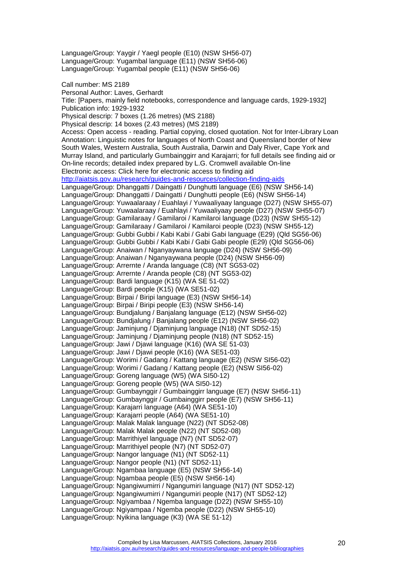Language/Group: Yugambal language (E11) (NSW SH56-06) Language/Group: Yugambal people (E11) (NSW SH56-06) Call number: MS 2189 Personal Author: Laves, Gerhardt Title: [Papers, mainly field notebooks, correspondence and language cards, 1929-1932] Publication info: 1929-1932 Physical descrip: 7 boxes (1.26 metres) (MS 2188) Physical descrip: 14 boxes (2.43 metres) (MS 2189) Access: Open access - reading. Partial copying, closed quotation. Not for Inter-Library Loan Annotation: Linguistic notes for languages of North Coast and Queensland border of New South Wales, Western Australia, South Australia, Darwin and Daly River, Cape York and Murray Island, and particularly Gumbainggirr and Karajarri; for full details see finding aid or On-line records; detailed index prepared by L.G. Cromwell available On-line Electronic access: Click here for electronic access to finding aid <http://aiatsis.gov.au/research/guides-and-resources/collection-finding-aids> Language/Group: Dhanggatti / Daingatti / Dunghutti language (E6) (NSW SH56-14) Language/Group: Dhanggatti / Daingatti / Dunghutti people (E6) (NSW SH56-14) Language/Group: Yuwaalaraay / Euahlayi / Yuwaaliyaay language (D27) (NSW SH55-07) Language/Group: Yuwaalaraay / Euahlayi / Yuwaaliyaay people (D27) (NSW SH55-07) Language/Group: Gamilaraay / Gamilaroi / Kamilaroi language (D23) (NSW SH55-12) Language/Group: Gamilaraay / Gamilaroi / Kamilaroi people (D23) (NSW SH55-12) Language/Group: Gubbi Gubbi / Kabi Kabi / Gabi Gabi language (E29) (Qld SG56-06) Language/Group: Gubbi Gubbi / Kabi Kabi / Gabi Gabi people (E29) (Qld SG56-06) Language/Group: Anaiwan / Nganyaywana language (D24) (NSW SH56-09) Language/Group: Anaiwan / Nganyaywana people (D24) (NSW SH56-09) Language/Group: Arrernte / Aranda language (C8) (NT SG53-02) Language/Group: Arrernte / Aranda people (C8) (NT SG53-02) Language/Group: Bardi language (K15) (WA SE 51-02) Language/Group: Bardi people (K15) (WA SE51-02) Language/Group: Birpai / Biripi language (E3) (NSW SH56-14) Language/Group: Birpai / Biripi people (E3) (NSW SH56-14) Language/Group: Bundjalung / Banjalang language (E12) (NSW SH56-02) Language/Group: Bundjalung / Banjalang people (E12) (NSW SH56-02) Language/Group: Jaminjung / Djaminjung language (N18) (NT SD52-15) Language/Group: Jaminjung / Djaminjung people (N18) (NT SD52-15) Language/Group: Jawi / Djawi language (K16) (WA SE 51-03) Language/Group: Jawi / Djawi people (K16) (WA SE51-03) Language/Group: Worimi / Gadang / Kattang language (E2) (NSW SI56-02) Language/Group: Worimi / Gadang / Kattang people (E2) (NSW SI56-02) Language/Group: Goreng language (W5) (WA SI50-12) Language/Group: Goreng people (W5) (WA SI50-12) Language/Group: Gumbaynggir / Gumbainggirr language (E7) (NSW SH56-11) Language/Group: Gumbaynggir / Gumbainggirr people (E7) (NSW SH56-11) Language/Group: Karajarri language (A64) (WA SE51-10) Language/Group: Karajarri people (A64) (WA SE51-10) Language/Group: Malak Malak language (N22) (NT SD52-08) Language/Group: Malak Malak people (N22) (NT SD52-08) Language/Group: Marrithiyel language (N7) (NT SD52-07) Language/Group: Marrithiyel people (N7) (NT SD52-07) Language/Group: Nangor language (N1) (NT SD52-11) Language/Group: Nangor people (N1) (NT SD52-11) Language/Group: Ngambaa language (E5) (NSW SH56-14) Language/Group: Ngambaa people (E5) (NSW SH56-14) Language/Group: Ngangiwumirri / Ngangumiri language (N17) (NT SD52-12) Language/Group: Ngangiwumirri / Ngangumiri people (N17) (NT SD52-12) Language/Group: Ngiyambaa / Ngemba language (D22) (NSW SH55-10) Language/Group: Ngiyampaa / Ngemba people (D22) (NSW SH55-10) Language/Group: Nyikina language (K3) (WA SE 51-12)

Language/Group: Yaygir / Yaegl people (E10) (NSW SH56-07)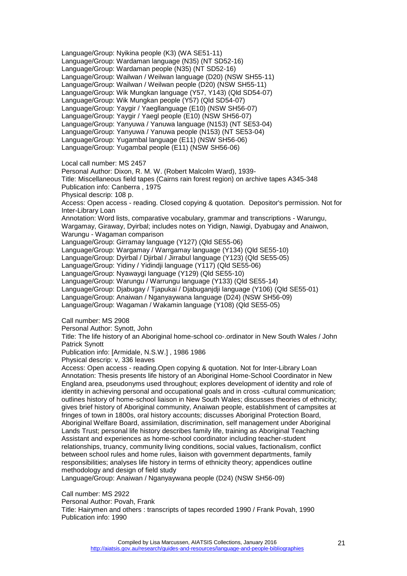Language/Group: Nyikina people (K3) (WA SE51-11) Language/Group: Wardaman language (N35) (NT SD52-16) Language/Group: Wardaman people (N35) (NT SD52-16) Language/Group: Wailwan / Weilwan language (D20) (NSW SH55-11) Language/Group: Wailwan / Weilwan people (D20) (NSW SH55-11) Language/Group: Wik Mungkan language (Y57, Y143) (Qld SD54-07) Language/Group: Wik Mungkan people (Y57) (Qld SD54-07) Language/Group: Yaygir / Yaegllanguage (E10) (NSW SH56-07) Language/Group: Yaygir / Yaegl people (E10) (NSW SH56-07) Language/Group: Yanyuwa / Yanuwa language (N153) (NT SE53-04) Language/Group: Yanyuwa / Yanuwa people (N153) (NT SE53-04) Language/Group: Yugambal language (E11) (NSW SH56-06) Language/Group: Yugambal people (E11) (NSW SH56-06) Local call number: MS 2457 Personal Author: Dixon, R. M. W. (Robert Malcolm Ward), 1939- Title: Miscellaneous field tapes (Cairns rain forest region) on archive tapes A345-348 Publication info: Canberra , 1975 Physical descrip: 108 p. Access: Open access - reading. Closed copying & quotation. Depositor's permission. Not for Inter-Library Loan Annotation: Word lists, comparative vocabulary, grammar and transcriptions - Warungu, Wargamay, Giraway, Dyirbal; includes notes on Yidign, Nawigi, Dyabugay and Anaiwon, Warungu - Wagaman comparison Language/Group: Girramay language (Y127) (Qld SE55-06) Language/Group: Wargamay / Warrgamay language (Y134) (Qld SE55-10) Language/Group: Dyirbal / Djirbal / Jirrabul language (Y123) (Qld SE55-05) Language/Group: Yidiny / Yidindji language (Y117) (Qld SE55-06) Language/Group: Nyawaygi language (Y129) (Qld SE55-10) Language/Group: Warungu / Warrungu language (Y133) (Qld SE55-14) Language/Group: Djabugay / Tjapukai / Djabuganjdji language (Y106) (Qld SE55-01) Language/Group: Anaiwan / Nganyaywana language (D24) (NSW SH56-09) Language/Group: Wagaman / Wakamin language (Y108) (Qld SE55-05) Call number: MS 2908 Personal Author: Synott, John Title: The life history of an Aboriginal home-school co-.ordinator in New South Wales / John Patrick Synott Publication info: [Armidale, N.S.W.] , 1986 1986 Physical descrip: v, 336 leaves Access: Open access - reading.Open copying & quotation. Not for Inter-Library Loan Annotation: Thesis presents life history of an Aboriginal Home-School Coordinator in New England area, pseudonyms used throughout; explores development of identity and role of identity in achieving personal and occupational goals and in cross -cultural communication; outlines history of home-school liaison in New South Wales; discusses theories of ethnicity; gives brief history of Aboriginal community, Anaiwan people, establishment of campsites at fringes of town in 1800s, oral history accounts; discusses Aboriginal Protection Board,

Aboriginal Welfare Board, assimilation, discrimination, self management under Aboriginal Lands Trust; personal life history describes family life, training as Aboriginal Teaching Assistant and experiences as home-school coordinator including teacher-student relationships, truancy, community living conditions, social values, factionalism, conflict between school rules and home rules, liaison with government departments, family responsibilities; analyses life history in terms of ethnicity theory; appendices outline methodology and design of field study

Language/Group: Anaiwan / Nganyaywana people (D24) (NSW SH56-09)

Call number: MS 2922

Personal Author: Povah, Frank

Title: Hairymen and others : transcripts of tapes recorded 1990 / Frank Povah, 1990 Publication info: 1990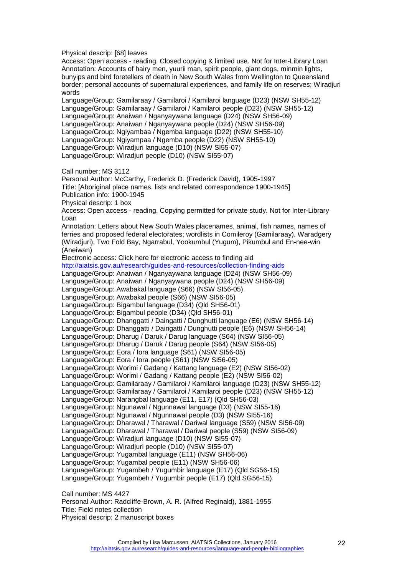Physical descrip: [68] leaves

Access: Open access - reading. Closed copying & limited use. Not for Inter-Library Loan Annotation: Accounts of hairy men, yuurii man, spirit people, giant dogs, minmin lights, bunyips and bird foretellers of death in New South Wales from Wellington to Queensland border; personal accounts of supernatural experiences, and family life on reserves; Wiradjuri words

Language/Group: Gamilaraay / Gamilaroi / Kamilaroi language (D23) (NSW SH55-12) Language/Group: Gamilaraay / Gamilaroi / Kamilaroi people (D23) (NSW SH55-12) Language/Group: Anaiwan / Nganyaywana language (D24) (NSW SH56-09) Language/Group: Anaiwan / Nganyaywana people (D24) (NSW SH56-09) Language/Group: Ngiyambaa / Ngemba language (D22) (NSW SH55-10) Language/Group: Ngiyampaa / Ngemba people (D22) (NSW SH55-10) Language/Group: Wiradjuri language (D10) (NSW SI55-07) Language/Group: Wiradjuri people (D10) (NSW SI55-07)

Call number: MS 3112

Personal Author: McCarthy, Frederick D. (Frederick David), 1905-1997 Title: [Aboriginal place names, lists and related correspondence 1900-1945] Publication info: 1900-1945 Physical descrip: 1 box Access: Open access - reading. Copying permitted for private study. Not for Inter-Library Loan Annotation: Letters about New South Wales placenames, animal, fish names, names of ferries and proposed federal electorates; wordlists in Comileroy (Gamilaraay), Waradgery (Wiradjuri), Two Fold Bay, Ngarrabul, Yookumbul (Yugum), Pikumbul and En-nee-win (Aneiwan) Electronic access: Click here for electronic access to finding aid <http://aiatsis.gov.au/research/guides-and-resources/collection-finding-aids> Language/Group: Anaiwan / Nganyaywana language (D24) (NSW SH56-09) Language/Group: Anaiwan / Nganyaywana people (D24) (NSW SH56-09) Language/Group: Awabakal language (S66) (NSW SI56-05) Language/Group: Awabakal people (S66) (NSW SI56-05) Language/Group: Bigambul language (D34) (Qld SH56-01) Language/Group: Bigambul people (D34) (Qld SH56-01) Language/Group: Dhanggatti / Daingatti / Dunghutti language (E6) (NSW SH56-14) Language/Group: Dhanggatti / Daingatti / Dunghutti people (E6) (NSW SH56-14) Language/Group: Dharug / Daruk / Darug language (S64) (NSW SI56-05) Language/Group: Dharug / Daruk / Darug people (S64) (NSW SI56-05) Language/Group: Eora / Iora language (S61) (NSW SI56-05) Language/Group: Eora / Iora people (S61) (NSW SI56-05) Language/Group: Worimi / Gadang / Kattang language (E2) (NSW SI56-02) Language/Group: Worimi / Gadang / Kattang people (E2) (NSW SI56-02) Language/Group: Gamilaraay / Gamilaroi / Kamilaroi language (D23) (NSW SH55-12) Language/Group: Gamilaraay / Gamilaroi / Kamilaroi people (D23) (NSW SH55-12) Language/Group: Narangbal language (E11, E17) (Qld SH56-03) Language/Group: Ngunawal / Ngunnawal language (D3) (NSW SI55-16) Language/Group: Ngunawal / Ngunnawal people (D3) (NSW SI55-16) Language/Group: Dharawal / Tharawal / Dariwal language (S59) (NSW SI56-09) Language/Group: Dharawal / Tharawal / Dariwal people (S59) (NSW SI56-09) Language/Group: Wiradjuri language (D10) (NSW SI55-07) Language/Group: Wiradjuri people (D10) (NSW SI55-07) Language/Group: Yugambal language (E11) (NSW SH56-06) Language/Group: Yugambal people (E11) (NSW SH56-06) Language/Group: Yugambeh / Yugumbir language (E17) (Qld SG56-15) Language/Group: Yugambeh / Yugumbir people (E17) (Qld SG56-15)

Call number: MS 4427 Personal Author: Radcliffe-Brown, A. R. (Alfred Reginald), 1881-1955 Title: Field notes collection Physical descrip: 2 manuscript boxes